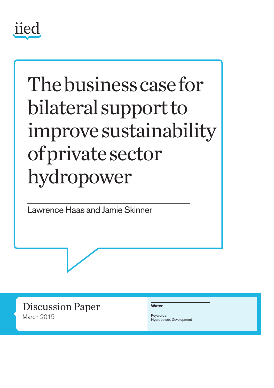

# Thebusinesscasefor bilateral support to improvesustainability ofprivatesector hydropower

Lawrence Haas and Jamie Skinner

Discussion Paper March 2015

**Water**

Keywords: Hydropower, Development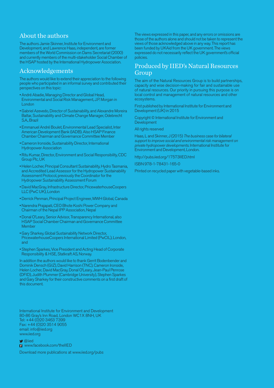## About the authors

The authors Jamie Skinner, Institute for Environment and Development, and Lawrence Haas, independent, are former members of the World Commission on Dams Secretariat (2000) and currently members of the multi-stakeholder Social Chamber of the HSAP hosted by the International Hydropower Association.

### Acknowledgements

The authors would like to extend their appreciation to the following peoplewho participated in an informal survey and contributed their perspectives on this topic:

- André Abadie, Managing Director and Global Head, Environmental and Social Risk Management, J.P. Morgan in London
- Gabriel Azevedo, Director of Sustainability, and Alexandre Moreira Baltar, Sustainability and Climate Change Manager, Odebrecht S.A. Brazil
- Emmanuel André Boulet, Environmental Lead Specialist, Inter American Development Bank (IADB). Also HSAP Finance Chamber Chairman and Governance Committee Member
- •Cameron Ironside, SustainabilityDirector, International Hydropower Association
- Ritu Kumar, Director, Environment and Social Responsibility, CDC Group Plc, UK
- Helen Locher, PrincipalConsultant Sustainability, Hydro Tasmania, and Accredited Lead Assessor for the Hydropower Sustainability Assessment Protocol, previously theCoordinator for the Hydropower Sustainability Assessment Forum
- David MacGray, Infrastructure Director, PricewaterhouseCoopers LLC(PwCUK), London
- •Derrick Penman, Principal Project Engineer, MWH Global,Canada
- Narendra Prajapati, CEO Bhote Koshi Power Company and Chairman of the Nepal IPP Association, Nepal
- •Donal O'Leary, Senior Advisor, Transparency International, also HSAP Social Chamber Chairman and Governance Committee Member
- Gary Sharkey, Global Sustainability NetworkDirector, PricewaterhouseCoopers International Limited (PwCIL), London, and
- Stephen Sparkes, Vice President and Acting Head of Corporate Responsibility & HSE, Statkraft AS, Norway.

In addition the authors would like to thank Gerrit Bodenbender and Dominik Densch (GIZ), David Harrison (TNC), Cameron Ironside, Helen Locher, David MacGray, Donal O'Leary, Jean-Paul Penrose (DFID), Judith Plummer (Cambridge University), Stephen Sparkes and Gary Sharkey for their constructive comments on a first draft of this document.

International Institute for Environment and Development 80-86 Gray's Inn Road, London WC1X 8NH, UK Tel: +44 (0)20 3463 7399 Fax: +44 (0)20 3514 9055 email: info@iied.org www.iied.org

 $\bigcirc$  @iied

**F** www.facebook.com/theIIED

Download more publications at www.iied.org/pubs

The views expressed in this paper, and any errors or omissions are those of the authors alone and should not be taken to represent the views of those acknowledged above in anyway. This report has been funded by UKAid from the UK government. The views expressed do not necessarily reflect the UK government's official policies.

## Produced by IIED's Natural Resources Group

The aim of the Natural Resources Group is to build partnerships, capacity and wise decision-making for fair and sustainable use of natural resources. Our priority in pursuing this purpose is on local control and management of natural resources and other ecosystems.

First published by International Institute for Environment and Development (UK) in 2015

Copyright © International Institute for Environment and **Development** 

All rights reserved

Haas, L and Skinner, J (2015) *The business case for bilateral support to improve social and environmental risk management on private hydropower developments*. International Institute for Environment and Development, London.

http://pubs.iied.org/17573IIED.html

ISBN 978-1-78431-165-0

Printed on recycled paper with vegetable-based inks.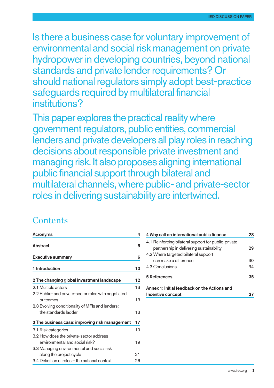Is there a business case for voluntary improvement of environmental and social risk management on private hydropower in developing countries, beyond national standards and private lender requirements? Or should national regulators simply adopt best-practice safequards required by multilateral financial institutions?

This paper explores the practical reality where government regulators, public entities, commercial lenders and private developers all play roles in reaching decisions about responsible private investment and managing risk. It also proposes aligning international public financial support through bilateral and multilateral channels,where public- and private-sector roles in delivering sustainability are intertwined.

# **Contents**

| Acronyms                                             | 4  |
|------------------------------------------------------|----|
| <b>Abstract</b>                                      | 5  |
| <b>Executive summary</b>                             | 6  |
| 1 Introduction                                       | 10 |
| 2 The changing global investment landscape           | 12 |
| 2.1 Multiple actors                                  | 13 |
| 2.2 Public- and private-sector roles with negotiated |    |
| outcomes                                             | 13 |
| 2.3 Evolving conditionality of MFIs and lenders:     |    |
| the standards ladder                                 | 13 |
| 3 The business case: improving risk management       | 17 |
| 3.1 Risk categories                                  | 19 |
| 3.2 How does the private-sector address              |    |
| environmental and social risk?                       | 19 |
| 3.3 Managing environmental and social risk           |    |
| along the project cycle                              | 21 |
| 3.4 Definition of roles – the national context       | 26 |

| 28                                                   |
|------------------------------------------------------|
| 4.1 Reinforcing bilateral support for public-private |
| 29                                                   |
|                                                      |
| 30                                                   |
| 34                                                   |
| 35                                                   |
|                                                      |
|                                                      |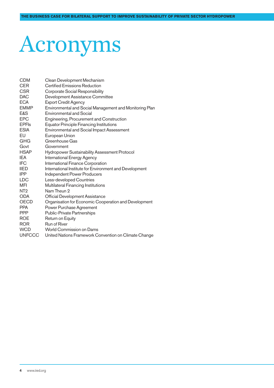# Acronyms

| <b>CDM</b>      | Clean Development Mechanism                             |
|-----------------|---------------------------------------------------------|
| <b>CER</b>      | <b>Certified Emissions Reduction</b>                    |
| <b>CSR</b>      | Corporate Social Responsibility                         |
| <b>DAC</b>      | Development Assistance Committee                        |
| <b>ECA</b>      | <b>Export Credit Agency</b>                             |
| <b>EMMP</b>     | Environmental and Social Management and Monitoring Plan |
| E&S             | <b>Environmental and Social</b>                         |
| <b>EPC</b>      | Engineering, Procurement and Construction               |
| <b>EPFIs</b>    | <b>Equator Principle Financing Institutions</b>         |
| <b>ESIA</b>     | Environmental and Social Impact Assessment              |
| EU              | European Union                                          |
| <b>GHG</b>      | Greenhouse Gas                                          |
| Govt            | Government                                              |
| <b>HSAP</b>     | <b>Hydropower Sustainability Assessment Protocol</b>    |
| IEA             | <b>International Energy Agency</b>                      |
| <b>IFC</b>      | International Finance Corporation                       |
| <b>IIED</b>     | International Institute for Environment and Development |
| <b>IPP</b>      | <b>Independent Power Producers</b>                      |
| <b>LDC</b>      | Less-developed Countries                                |
| MFI             | Multilateral Financing Institutions                     |
| NT <sub>2</sub> | Nam Theun 2                                             |
| <b>ODA</b>      | <b>Official Development Assistance</b>                  |
| <b>OECD</b>     | Organisation for Economic Cooperation and Development   |
| <b>PPA</b>      | Power Purchase Agreement                                |
| <b>PPP</b>      | <b>Public-Private Partnerships</b>                      |
| <b>ROE</b>      | Return on Equity                                        |
| <b>ROR</b>      | <b>Run of River</b>                                     |
| <b>WCD</b>      | World Commission on Dams                                |
| <b>UNFCCC</b>   | United Nations Framework Convention on Climate Change   |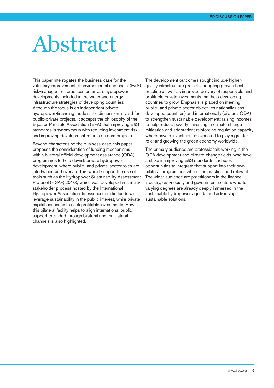# Abstract

This paper interrogates the business case for the voluntary improvement of environmental and social (E&S) risk-management practices on private hydropower developments included in the water and energy infrastructure strategies of developing countries. Although the focus is on independent private hydropower-financing models, the discussion is valid for public-private projects. It accepts the philosophy of the Equator Principle Association (EPA) that improving E&S standards is synonymous with reducing investment risk and improving development returns on dam projects.

Beyond characterising the business case, this paper proposes the consideration of funding mechanisms within bilateral official development assistance (ODA) programmes to help de-risk private hydropower development, where public- and private-sector roles are intertwined and overlap. This would support the use of tools such as the Hydropower Sustainability Assessment Protocol (HSAP, 2010), which was developed in a multistakeholder process hosted by the International Hydropower Association. In essence, public funds will leverage sustainability in the public interest, while private capital continues to seek profitable investments. How this bilateral facility helps to align international public support extended through bilateral and multilateral channels is also highlighted.

The development outcomes sought include higherquality infrastructure projects, adopting proven best practice as well as improved delivery of responsible and profitable private investments that help developing countries to grow. Emphasis is placed on meeting public- and private-sector objectives nationally (lessdeveloped countries) and internationally (bilateral ODA) to strengthen sustainable development; raising incomes to help reduce poverty; investing in climate change mitigation and adaptation; reinforcing regulation capacity where private investment is expected to play a greater role; and growing the green economy worldwide.

The primary audience are professionals working in the ODA development and climate-change fields, who have a stake in improving E&S standards and seek opportunities to integrate that support into their own bilateral programmes where it is practical and relevant. The wider audience are practitioners in the finance, industry, civil-society and government sectors who to varying degrees are already deeply immersed in the sustainable hydropower agenda and advancing sustainable solutions.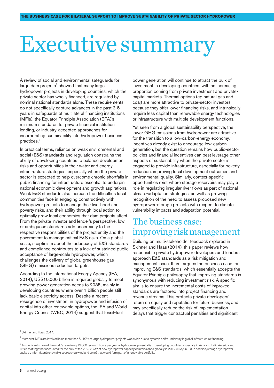# Executive summary

A review of social and environmental safeguards for large dam projects<sup>1</sup> showed that many large hydropower projects in developing countries, which the private sector has wholly financed, are regulated by nominal national standards alone. These requirements do not specifically capture advances in the past 3-5 years in safeguards of multilateral financing institutions (MFIs), the Equator Principle Association (EPA)'s minimum standards for private financial institution lending, or industry-accepted approaches for incorporating sustainability into hydropower business practices. 2

In practical terms, reliance on weak environmental and social (E&S) standards and regulation constrains the ability of developing countries to balance development risks and opportunities in their water and energy infrastructure strategies, especially where the private sector is expected to help overcome chronic shortfalls in public financing for infrastructure essential to underpin national economic development and growth aspirations. Weak E&S standards also increase the difficulties local communities face in engaging constructively with hydropower projects to manage their livelihood and poverty risks, and their ability through local action to optimally grow local economies that dam projects affect. From the private investor and lender's perspective, low or ambiguous standards add uncertainty to the respective responsibilities of the project entity and the government to manage critical E&S risks. On a global scale, scepticism about the adequacy of E&S standards and compliance contributes to a lack of sustained public acceptance of large-scale hydropower, which challenges the delivery of global greenhouse gas (GHG) emissions reduction targets.

According to the International Energy Agency (IEA, 2014), US\$10,000 billion is required globally to meet growing power generation needs to 2035, mainly in developing countries where over 1 billion people still lack basic electricity access. Despite a recent resurgence of investment in hydropower and infusion of capital into other renewable options, the IEA and World Energy Council (WEC, 2014) suggest that fossil-fuel

power generation will continue to attract the bulk of investment in developing countries, with an increasing proportion coming from private investment and privatecapital markets. Thermal options (eg natural gas and coal) are more attractive to private-sector investors because they offer lower financing risks, and intrinsically require less capital than renewable energy technologies or infrastructure with multiple development functions.

Yet seen from a global sustainability perspective, the lower GHG emissions from hydropower are attractive for the transition to a low-carbon-energy economy.<sup>3</sup> Incentives already exist to encourage low-carbon generation, but the question remains how public-sector policies and financial incentives can best leverage other aspects of sustainability when the private sector is engaged to provide infrastructure, especially for poverty reduction, improving local development outcomes and environmental quality. Similarly, context-specific opportunities exist where storage reservoirs may play a role in regulating irregular river flows as part of national climate-adaptation strategies, as well as growing recognition of the need to assess proposed new hydropower-storage projects with respect to climate vulnerability impacts and adaptation potential.

# The business case: improving risk management

Building on multi-stakeholder feedback explored in Skinner and Haas (2014), this paper reviews how responsible private hydropower developers and lenders approach E&S standards as a risk mitigation and management issue. It first argues the business case for improving E&S standards, which essentially accepts the Equator Principle philosophy that improving standards is synonymous with reducing investment risk. A specific aim is to ensure the incremental costs of improved standards are factored into project financing and revenue streams. This protects private developers' return on equity and reputation for future business, and may specifically reduce the risk of implementation delays that trigger contractual penalties and significant

<sup>1</sup> Skinner and Haas, 2014.

<sup>2</sup> Moreover, MFIs are involved in no more than 5–10% of large hydropower projects worldwide due to dynamic shifts underway in global infrastructure financing.

 $^3$  A significant share of the world's remaining 13,000 terawatt hours per year of hydropower potential is in developing countries, especially in Asia and Latin America and Africa that together accounted for the bulk of the 29–33 GW of new hydropower capacity commissioned globally in 2012 (IHA, 2013). In addition, storage hydropower backs up intermittent renewable sources (eg wind and solar) that would form part of a renewable portfolio.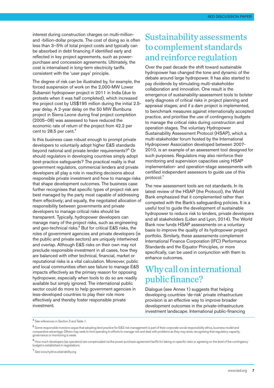interest during construction charges on multi-millionand -billion-dollar projects. The cost of doing so is often less than 3–5% of total project costs and typically can be absorbed in debt financing if identified early and reflected in key project agreements, such as powerpurchase and concession agreements. Ultimately, the cost is internalised in long-term electricity tariffs consistent with the 'user pays' principle.

The degree of risk can be illustrated by, for example, the forced suspension of work on the 2,000-MW Lower Subansiri hydropower project in 2011 in India (due to protests when it was half completed), which increased the project cost by US\$195 million during the initial 2.5 year delay. A 2-year delay on the 50 MW Bumbuna project in Sierra Leone during final project completion (2005–08) was assessed to have reduced the economic rate of return of the project from 42.2 per cent to 28.5 per cent. 4

Is this business case robust enough to prompt private developers to voluntarily adopt higher E&S standards beyond national and private lender requirements?<sup>5</sup> Or should regulators in developing countries simply adopt best-practice safeguards? The practical reality is that government regulators, commercial lenders and private developers all play a role in reaching decisions about responsible private investment and how to manage risks that shape development outcomes. The business case further recognises that specific types of project risk are best managed by the party most capable of addressing them effectively; and equally, the negotiated allocation of responsibility between governments and private developers to manage critical risks should be transparent. Typically, hydropower developers can manage many of the project risks, such as engineering and geo-technical risks. <sup>6</sup> But for critical E&S risks, the roles of government agencies and private developers (ie the public and private sectors) are uniquely intertwined and overlap. Although E&S risks on their own may not preclude responsible investment in all cases, how they are balanced with other technical, financial, market or reputational risks is a vital calculation. Moreover, public and local communities often see failure to manage E&S impacts effectively as the primary reason for opposing hydropower, especially when tools to do so are readily available but simply ignored. The international public sector could do more to help government agencies in less-developed countries to play their role more effectively and thereby foster responsible private investment.

# Sustainabilityassessments to complement standards and reinforce regulation

Over the past decade the shift toward sustainable hydropower has changed the tone and dynamic of the debate around large hydropower. It has also started to pay dividends by stimulating multi-stakeholder collaboration and innovation. One result is the emergence of sustainability-assessment tools to bolster early diagnosis of critical risks in project planning and appraisal stages; and if a dam project is implemented, to benchmark measures against internationally accepted practice, and prioritise the use of contingency budgets to manage the critical risks during construction and operation stages. The voluntary Hydropower Sustainability Assessment Protocol (HSAP), which a multi-stakeholder forum hosted by the International Hydropower Association developed between 2007- 2010, is an example of an assessment tool designed for such purposes. Regulators may also reinforce their monitoring and supervision capacities using HSAP implementation- and operation-stage assessments with certified independent assessors to guide use of this protocol. 7

The new assessment tools are not standards. In its latest review of the HSAP (the Protocol), the World Bank emphasized that it complemented rather than competed with the Bank's safeguarding policies. It is a useful tool to guide the development of sustainable hydropower to reduce risk to lenders, private developers and all stakeholders (Liden and Lyon, 2014). The World Bank now funds HSAP assessments on a voluntary basis to improve the quality of its hydropower project portfolio. Similarly, these assessments complement International Finance Corporation (IFC) Performance Standards and the Equator Principles, or more specifically, can be used in conjunction with them to enhance outcomes.

# Why call on international public finance?

Dialogue (see Annex 1) suggests that helping developing countries 'de-risk' private infrastructure provision is an effective way to improve broader development outcomes in the private-infrastructure investment landscape. International public-financing

<sup>7</sup> See www.hydrosustainability.org

<sup>4</sup> See references in Section 3 and Table 1.

<sup>5</sup> Some responsible investors argue that adopting best practice for E&S risk management is part of their corporate social responsibility ethos, business model and comparative advantage. Others may seek to limit spending to efforts to manage risk and deal with problems as they may arise, recognising that regulatory capacity, governance or monitoring is weak.

 $6$  How much developers (as operators) are compensated via the power purchase agreement tariffs for taking on specific risks or agreeing on the level of the contingency budget is established in negotiations.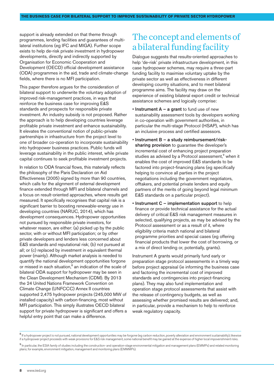support is already extended on that theme through programmes, lending facilities and guarantees of multilateral institutions (eg IFC and MIGA). Further scope exists to help de-risk private investment in hydropower developments, directly and indirectly supported by Organisation for Economic Cooperation and Development (OECD) official development assistance (ODA) programmes in the aid, trade and climate-change fields, where there is no MFI participation.

This paper therefore argues for the consideration of bilateral support to underwrite the voluntary adoption of improved risk-management practices, in ways that reinforce the business case for improving E&S standards and prospects for responsible private investment. An industry subsidy is not proposed. Rather the approach is to help developing countries leverage profitable private investment and enhance sustainability. It elevates the conventional notion of public-private partnerships in infrastructure from the project level to one of broader co-operation to incorporate sustainability into hydropower business practices. Public funds will leverage sustainability in the public interest, while private capital continues to seek profitable investment projects.

In relation to ODA financial flows, this materially reflects the philosophy of the Paris Declaration on Aid Effectiveness (2005) signed by more than 90 countries, which calls for the alignment of external development finance extended through MFI and bilateral channels and a focus on result-oriented approaches, where results get measured. It specifically recognises that capital risk is a significant barrier to boosting renewable-energy use in developing countries (NARUC, 2014), which has development consequences. Hydropower opportunities not pursued by responsible private investors, for whatever reason, are either: (a) picked up by the public sector, with or without MFI participation; or by other private developers and lenders less concerned about E&S standards and reputational risk; (b) not pursued at all; or (c) replaced by investment in equivalent thermal power (mainly). Although market analysis is needed to quantify the national development opportunities forgone or missed in each situation, <sup>8</sup> an indication of the scale of bilateral ODA support for hydropower may be seen in the Clean Development Mechanism (CDM). By 2013 the 24 United Nations Framework Convention on Climate Change (UNFCCC) Annex II countries supported 2,475 hydropower projects (245,000 MW of installed capacity) with carbon-financing, most without MFI participation. This simply illustrates OECD bilateral support for private hydropower is significant and offers a helpful entry point that can make a difference.

# The concept and elements of a bilateral funding facility

Dialogue suggests that results-oriented approaches to help 'de-risk' private infrastructure development, in this case hydropower schemes, may require a three-part funding facility to maximise voluntary uptake by the private sector as well as effectiveness in different developing country situations, and to meet bilateral programme aims. The facility may draw on the experience of existing bilateral export credit or technical assistance schemes and logically comprise:

- **Instrument A a grant** to fund use of new sustainability assessment tools by developers working in co-operation with government authorities, in particular the multi-stage Protocol (HSAP), which has an inclusive process and certified assessors.
- Instrument B a study reimbursement/risksharing provision to guarantee the developer's incremental cost of enhancing project preparation studies as advised by a Protocol assessment,<sup>9</sup> when it enables the cost of improved E&S standards to be factored into project-financing plans (eg specifically helping to convince all parties in the project negotiations including the government negotiators, offtakers, and potential private lenders and equity partners of the merits of going beyond legal minimum E&S standards on a particular project).
- Instrument C implementation support to help finance or provide technical assistance for the actual delivery of critical E&S risk management measures in selected, qualifying projects, as may be advised by the Protocol assessment or as a result of it, where eligibility criteria match national and bilateral programme priorities and special cases (eg offering financial products that lower the cost of borrowing, or a mix of direct lending or, potentially, grants).

Instrument A grants would primarily fund early or preparation stage protocol assessments in a timely way before project appraisal (ie informing the business case and factoring the incremental cost of improved standards and contingencies into project-financing plans). They may also fund implementation and operation stage protocol assessments that assist with the release of contingency budgets, as well as assessing whether promised results are delivered; and, in particular, provide a mechanism to help to reinforce weak regulatory capacity.

9 In particular, the ESIA family of studies including the construction- and operation-stage environmental mitigation and management plans (EMMPs) and related monitoring plans; for example, environment mitigation, management and monitoring plans (EMMMPs).

<sup>8</sup> If a hydropower project is not pursued, national development opportunities may be forgone (eg carbon reduction, poverty alleviation and environment sustainability); likewise if a hydropower project proceeds with weak provisions for E&S risk management, some national benefit may be gained at the expense of higher local impoverishment risks.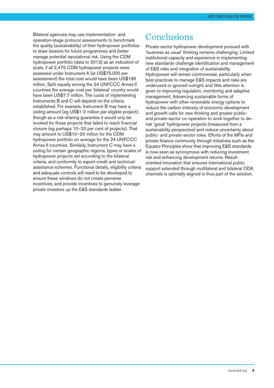Bilateral agencies may use implementation- and operation-stage protocol assessments to benchmark the quality (sustainability) of their hydropower portfolios to draw lessons for future programmes and better manage potential reputational risk. Using the CDM hydropower portfolio (data to 2013) as an indication of scale, if all 2,475 CDM hydropower projects were assessed under Instrument A (at US\$75,000 per assessment) the total cost would have been US\$185 million. Split equally among the 24 UNFCCC Annex II countries the average cost per 'bilateral' country would have been US\$7.7 million. The costs of implementing Instruments B and C will depend on the criteria established. For example, Instrument B may have a ceiling amount (eg US\$1-2 million per eligible project); though as a risk-sharing guarantee it would only be invoked for those projects that failed to reach financial closure (eg perhaps 10–20 per cent of projects). That may amount to US\$10–20 million for the CDM hydropower portfolio on average for the 24 UNFCCC Annex II countries. Similarly, Instrument C may have a ceiling for certain geographic regions, types or scales of hydropower projects set according to the bilateral criteria, and conformity to export-credit and technicalassistance schemes. Functional details, eligibility criteria and adequate controls will need to be developed to ensure these windows do not create perverse incentives, and provide incentives to genuinely leverage private investors up the E&S standards ladder.

# **Conclusions**

Private-sector hydropower development pursued with 'business as usual' thinking remains challenging. Limited institutional capacity and experience in implementing new standards challenge identification and management of E&S risks and integration of sustainability. Hydropower will remain controversial, particularly when best practices to manage E&S impacts and risks are underused or ignored outright, and little attention is given to improving regulation, monitoring and adaptive management. Advancing sustainable forms of hydropower with other renewable energy options to reduce the carbon intensity of economic development and growth calls for new thinking and greater publicand private-sector co-operation to work together to derisk 'good' hydropower projects (measured from a sustainability perspective) and reduce uncertainty about public- and private-sector roles. Efforts of the MFIs and private finance community through initiatives such as the Equator Principles show that improving E&S standards is now seen as synonymous with reducing investment risk and enhancing development returns. Resultoriented innovation that ensures international public support extended through multilateral and bilateral ODA channels is optimally aligned is thus part of the solution.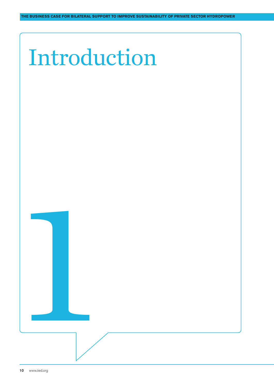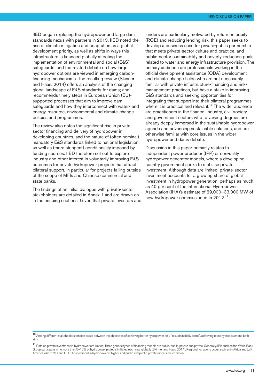IIED began exploring the hydropower and large dam standards nexus with partners in 2013. IIED noted the rise of climate mitigation and adaptation as a global development priority, as well as shifts in ways this infrastructure is financed globally affecting the implementation of environmental and social (E&S) safeguards, and the related debate on how large hydropower options are viewed in emerging carbonfinancing mechanisms. The resulting review (Skinner and Haas, 2014) offers an analysis of the changing global landscape of E&S standards for dams; and recommends timely steps in European Union (EU) supported processes that aim to improve dam safeguards and how they interconnect with water- and energy-resource, environmental and climate-change policies and programmes.

The review also notes the significant rise in privatesector financing and delivery of hydropower in developing countries, and the nature of (often nominal) mandatory E&S standards linked to national legislation, as well as (more stringent) conditionality imposed by funding sources. IIED therefore set out to explore industry and other interest in voluntarily improving E&S outcomes for private hydropower projects that attract bilateral support, in particular for projects falling outside of the scope of MFIs and Chinese commercial and state banks.

The findings of an initial dialogue with private-sector stakeholders are detailed in Annex 1 and are drawn on in the ensuing sections. Given that private investors and lenders are particularly motivated by return on equity (ROE) and reducing lending risk, this paper seeks to develop a business case for private-public partnership that meets private-sector culture and practice, and public-sector sustainability and poverty-reduction goals related to water and energy infrastructure provision. The primary audience are professionals working in the official development assistance (ODA) development and climate-change fields who are not necessarily familiar with private infrastructure-financing and riskmanagement practices, but have a stake in improving E&S standards and seeking opportunities for integrating that support into their bilateral programmes where it is practical and relevant.<sup>10</sup> The wider audience are practitioners in the finance, industry, civil-society and government sectors who to varying degrees are already deeply immersed in the sustainable hydropower agenda and advancing sustainable solutions, and are otherwise familiar with core issues in the wider hydropower and dams debate.

Discussion in this paper primarily relates to independent power producer (IPP) or non-utility hydropower generator models, where a developingcountry government seeks to mobilise private investment. Although data are limited, private-sector investment accounts for a growing share of global investment in hydropower generation, perhaps as much as 40 per cent of the International Hydropower Association (IHA)'s estimate of 29,000–33,000 MW of new hydropower commissioned in 2012.<sup>11</sup>

<sup>10</sup> Among different stakeholders tension exists between the objectives of achieving better hydropower only (in sustainability terms), achieving more hydropower and both aims.

<sup>11</sup> Data on private investment in hydropower are limited. Three generic types of financing models are public, public-private and private. Generally, IFIs such as the World Bank Group participate in no more than 5–10% of hydropower projects initiated each year globally (Skinner and Haas, 2014). Regional variations occur, such as in Africa and Latin America where MFI and OECD involvement in hydropower is higher and public and public-private models are common.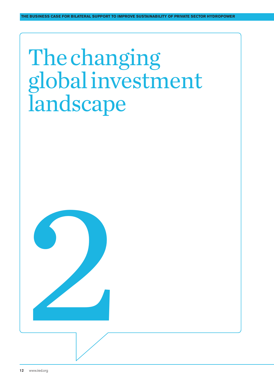# The changing globalinvestment landscape

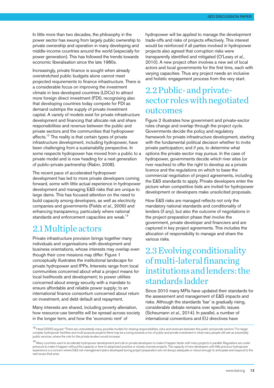In little more than two decades, the philosophy in the power sector has swung from largely public ownership to private ownership and operation in many developing and middle-income countries around the world (especially for power generation). This has followed the trends towards economic liberalisation since the late 1980s.

Increasingly, private finance is sought when already overstretched public budgets alone cannot meet projected requirements to finance infrastructure. There is a considerable focus on improving the investment climate in less developed countries (LDCs) to attract more foreign direct investment (FDI), recognising also that developing countries today compete for FDI as demand outstrips the supply of private investment capital. A variety of models exist for private infrastructure development and financing that allocate risk and share responsibilities and revenue between the public and private sectors and the communities that hydropower affects.<sup>12</sup> The reality is that certain types of private infrastructure development, including hydropower, have been challenging from a sustainability perspective. In some respects hydropower has moved from a public to a private model and is now heading for a next generation of public-private partnership (Rabin, 2008).

The recent pace of accelerated hydropower development has led to more private developers coming forward, some with little actual experience in hydropower development and managing E&S risks that are unique to large dams. This has focused attention on the need to build capacity among developers, as well as electricity companies and governments (Fields *et al*., 2009) and enhancing transparency, particularly where national standards and enforcement capacities are weak.<sup>13</sup>

## 2.1Multipleactors

Private infrastructure provision brings together many individuals and organisations with development and business orientations, whose interests may overlap even though their core missions may differ. Figure 1 conceptually illustrates the institutional landscape for private hydropower and IPPs. Interests range from local communities concerned about what a project means for local livelihoods and development; to power utilities concerned about energy security with a mandate to ensure affordable and reliable power supply; to an international finance consortium concerned about return on investment, and debt default and repayment.

Many interests are shared, including poverty alleviation, how resource-use benefits will be spread across society in the longer term, and how the 'economic rent' of

hydropower will be applied to manage the development trade-offs and risks of projects effectively. This interest would be reinforced if all parties involved in hydropower projects also agreed that corruption risks were transparently identified and mitigated (O'Leary *et al.*, 2010). A new project often involves a new set of local actors and local governments for the first time, each with varying capacities. Thus any project needs an inclusive and holistic engagement process from the very start.

# 2.2Public-andprivatesector roles with negotiated outcomes

Figure 2 illustrates how government and private-sector roles change and overlap through the project cycle. Governments decide the policy and regulatory framework for private infrastructure development, starting with the fundamental political decision whether to invite private participation; and if yes, to determine what options the private sector may pursue. In the case of hydropower, governments decide which river sites (or river reaches) to offer the right to develop as a private licence and the regulations on which to base the commercial negotiation of project agreements, including the E&S standards to apply. Private developers enter the picture when competitive bids are invited for hydropower development or developers make unsolicited proposals.

How E&S risks are managed reflects not only the mandatory national standards and conditionality of lenders (if any), but also the outcome of negotiations in the project-preparation phase that involve the government, private developer and financiers and are captured in key project agreements. This includes the allocation of responsibility to manage and share the various risks.

# 2.3 Evolving conditionality of multi-lateral financing institutions and lenders: the standards ladder

Since 2010 many MFIs have updated their standards for the assessment and management of E&S impacts and risks. Although the standards 'bar' is gradually rising, considerable debate remains over specific issues (Scheumann *et al.*, 2014). In parallel, a number of international conventions and EU directives have

<sup>12</sup> Head (2000) argued: "There are undoubtedly many possible models for sharing responsibilities, risks and revenues between the public and private sectors." For larger complex hydropower facilities and multi-purpose projects there may be a swing towards a mix of public and private investment in what many people still see as essentially public services, where the role for the private lenders would increase.

<sup>13</sup> Many countries want to accelerate hydropower development and call on private developers to make it happen faster with many projects in parallel. Regulators are under pressure to make it happen without the capacity or time to adopt best practice or closely oversee projects. The capacity of new developers with little previous hydropower experience is a concern where E&S risk management plans developed during project preparation are not always adequate or robust enough to anticipate and respond to the real issues that arise.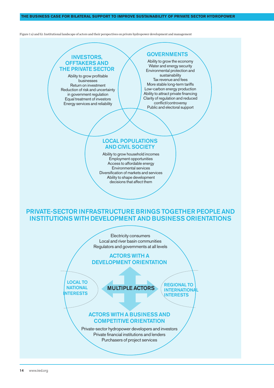#### **THE BUSINESS CASE FOR BILATERAL SUPPORT TO IMPROVE SUSTAINABILITY OF PRIVATE SECTOR HYDROPOWER**

Figure 1 a) and b): Institutional landscape of actors and their perspectives on private hydropower development and management

### INVESTORS, OFFTAKERS AND THE PRIVATE SECTOR

Ability to grow profitable businesses Return on investment Reduction of risk and uncertainty in government regulation Equal treatment of investors Energy services and reliability

### **GOVERNMENTS**

Ability to grow the economy Water and energy security Environmental protection and sustainability Tax revenue and fees More stable long-term tariffs Low-carbon energy production Ability to attract private financing Clarity of regulation and reduced conflict/controversy Public and electoral support

### LOCAL POPULATIONS AND CIVIL SOCIETY

Ability to grow household incomes Employment opportunities Access to affordable energy Environmental services Diversification of markets and services Ability to shape development decisions that affect them

## PRIVATE-SECTOR INFRASTRUCTURE BRINGS TOGETHER PEOPLE AND INSTITUTIONS WITH DEVELOPMENT AND BUSINESS ORIENTATIONS

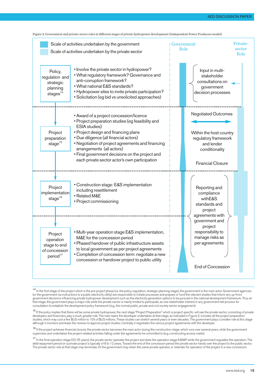



<sup>14</sup> In the first stage of the project which is the pre-project phase (i.e. the policy, regulation, strategic planning stage), the government is the main actor. Government agencies (or the government via instructions to a public electricity utility) are responsible to initiate processes and prepare or fund the relevant studies that inform any up-front government decisions influencing private hydropower development such as the electricity generation options to be pursued in the national development framework. Thus at that stage, the government plays a major role while the private sector is mainly limited to participate, as one stakeholder interest in any government-led process for consultation to establish the development policy framework (e.g., the normal public, private and civil society sector engagement).

<sup>15</sup> If the policy implies that there will be some private hydropower, the next stage "Project Preparation" which is project specific, will see the private sector, consisting of private developers and financiers, play a much greater role. The main tasks the developer undertakes at that stage, as indicated in Figure 2, includes all the project preparation studies, which may cost a few \$US million to 10's of \$US millions. These studies can stretch several years or even decades. The government plays a smaller role at this stage although it monitors and leads the reviews to approve project studies. Centrally, it negotiates the various project agreements with the developer.

<sup>16</sup> If the project achieves financial closure, the private sector becomes the main actor during the construction stage, which runs over several years, while the government supervises and undertakes the project-related activities falling under the agreements he committed to (e.g. constructing access roads).

<sup>17</sup> In the final operation stage (20-35 years), the private sector operates the project and does the operation stage EMMP while the government regulates the operation. The debt repayment period on a private project is typically of 8 to 12 years. Toward the end of the concession period the private sector hands over the project to the public sector. The private sector role at that stage may terminate. Or the government may retain the same private operator, or retender for operation of the project in a new concession.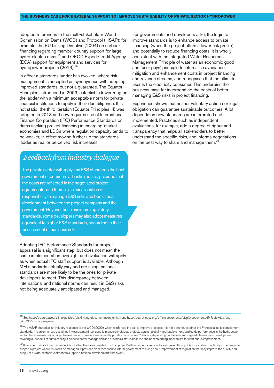adopted references to the multi-stakeholder World Commission on Dams (WCD) and Protocol (HSAP); for example, the EU Linking Directive (2004) on carbonfinancing regarding member country support for large hydro-electric dams<sup>18</sup> and OECD Export Credit Agency (ECA) support for equipment and services for hydropower projects (2013). 19

In effect a standards ladder has evolved, where risk management is accepted as synonymous with adopting improved standards, but not a guarantee. The Equator Principles, introduced in 2003, establish a lower rung on the ladder with a minimum acceptable norm for private financial institutions to apply in their due diligence. It is not static: the third iteration (Equator Principles III) was adopted in 2013 and now requires use of International Finance Corporation (IFC) Performance Standards on dams seeking project financing in emerging-market economies and LDCs where regulation capacity tends to be weaker, in effect moving further up the standards ladder as real or perceived risk increases.

## *Feedbackfromindustrydialogue*

The private sector will apply any E&S standards the host government or commercial banks require, provided that the costs are reflected in the negotiated project agreements, and there is a clear allocation of responsibility to manage E&S risks and boost local development between the project company and the government. Beyond these minimum regulatory standards, some developers may also adopt measures equivalent to higher E&S standards, according to their assessment of business risk.

Adopting IFC Performance Standards for project appraisal is a significant step, but does not mean the same implementation oversight and evaluation will apply as when actual IFC staff support is available. Although MFI standards actually vary and are rising, national standards are more likely to be the ones for private developers to meet. This discrepancy between international and national norms can result in E&S risks not being adequately anticipated and managed.

For governments and developers alike, the logic to improve standards is to enhance access to private financing (when the project offers a lower risk profile) and potentially to reduce financing costs. It is wholly consistent with the Integrated Water Resources Management Principle of water as an economic good and 'user pays' principle to internalise avoidance, mitigation and enhancement costs in project financing and revenue streams, and recognises that the ultimate user is the electricity consumer. This underpins the business case for incorporating the costs of better managing E&S risks in project financing.

Experience shows that neither voluntary action nor legal obligation can guarantee sustainable outcomes. A lot depends on how standards are interpreted and implemented. Practices such as independent evaluations, for example, add a degree of rigour and transparency that helps all stakeholders to better understand the specific risks, and informs negotiations on the best way to share and manage them.<sup>20</sup>

<sup>18</sup> See http://ec.europa.eu/clima/policies/ets/linking/documentation\_en.htm and [http://search.oecd.org/officialdocuments/displaydocumentpdf/?cote=tad/ecg](http://search.oecd.org/officialdocuments/displaydocumentpdf/?cote=tad/ecg(2012)5&doclanguage=en) [\(2012\)5&doclanguage=en](http://search.oecd.org/officialdocuments/displaydocumentpdf/?cote=tad/ecg(2012)5&doclanguage=en)

<sup>19</sup> The HSAP started as an industry response to the WCD (2000), which reinforced the call to improve practices. It is not a standard; rather the Protocol aims to complement standards. It is an enhanced sustainability assessment tool used to measure individual projects against globally applicable criteria and guide performance in the hydropower sector. Assessments rely on objective evidence to create a sustainability profile against some 20 topics, depending on the relevant stage of planning and development, covering all aspects of sustainability. It helps to better manage risk and provides a status baseline and benchmarking mechanism for continuous improvement.

<sup>20</sup> It may help private investors to decide whether they are considering a 'bad project' with unacceptable risks to avoid, even though it is financially or politically attractive, or to support a project where risks can be managed. It provides clear feedback to inform government thinking about improvement of regulation that may improve the quality and supply of private-sector investment to support a national development framework.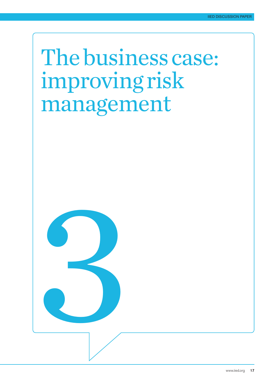# Thebusinesscase: improving risk management

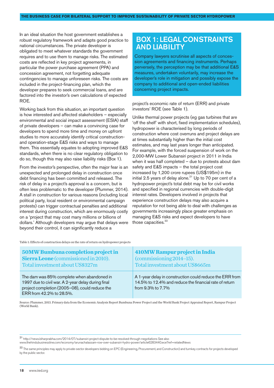In an ideal situation the host government establishes a robust regulatory framework and adapts good practice to national circumstances. The private developer is obligated to meet whatever standards the government requires and to use them to manage risks. The estimated costs are reflected in key project agreements, in particular the power purchase agreement (PPA) and concession agreement, not forgetting adequate contingencies to manage unforeseen risks. The costs are included in the project-financing plan, which the developer prepares to seek commercial loans, and are factored into the investor's own calculations of expected ROE.

Working back from this situation, an important question is how interested and affected stakeholders – especially environmental and social impact assessment (ESIA) staff of private developers – can make a convincing case for developers to spend more time and money on upfront studies to more accurately identify critical constructionand operation-stage E&S risks and ways to manage them. This essentially equates to adopting improved E&S standards, when there is no clear regulatory obligation to do so, though this may also raise liability risks (Box 1).

From the investor's perspective, often the major fear is an unexpected and prolonged delay in construction once debt financing has been committed and released. The risk of delay in a project's approval is a concern, but is often less problematic to the developer (Plummer, 2014). A stall in construction for various reasons (including local political party, local resident or environmental campaign protests) can trigger contractual penalties and additional interest during construction, which are enormously costly on a 'project that may cost many millions or billions of dollars.' Although developers may argue that delays were beyond their control, it can significantly reduce a

## BOX 1: LEGAL CONSTRAINTS AND LIABILITY

Company lawyers scrutinise all aspects of concession agreements and financing instruments. Perhaps perversely, the perception may be that additional E&S measures, undertaken voluntarily, may increase the developer's role in mitigation and possibly expose the company to additional and open-ended liabilities concerning project impacts.

project's economic rate of return (ERR) and private investors' ROE (see Table 1).

Unlike thermal power projects (eg gas turbines that are 'off the shelf' with short, fixed implementation schedules), hydropower is characterised by long periods of construction where cost overruns and project delays are at times substantially higher than the initial cost estimates, and may last years longer than anticipated. For example, with the forced suspension of work on the 2,000-MW Lower Subansiri project in 2011 in India when it was half completed – due to protests about dam safety and E&S impacts – the total project cost increased by 1,200 crore rupees (US\$195m) in the initial 2.5 years of delay alone.<sup>21</sup> Up to 70 per cent of a hydropower project's total debt may be for civil works and specified in regional currencies with double-digit interest rates. Developers involved in projects that experience construction delays may also acquire a reputation for not being able to deal with challenges as governments increasingly place greater emphasis on managing E&S risks and expect developers to have those capacities. 22

Table 1: Effects of construction delays on the rate of return on hydropower projects

| <b>50MW Bumbuna completion project in</b>                                                                                                                                      | 410MW Rampur project in India                                                                                                           |
|--------------------------------------------------------------------------------------------------------------------------------------------------------------------------------|-----------------------------------------------------------------------------------------------------------------------------------------|
| <b>Sierra Leone</b> (commissioned in 2010).                                                                                                                                    | (commissioning 2014–15).                                                                                                                |
| Total investment about US\$327m                                                                                                                                                | Total investment about US\$665m                                                                                                         |
| The dam was 85% complete when abandoned in<br>1997 due to civil war. A 2-year delay during final<br>project completion (2005-08), could reduce the<br>ERR from 42.2% to 28.5%. | A 1-year delay in construction could reduce the ERR from<br>14.5% to 12.4% and reduce the financial rate of return<br>from 9.3% to 7.7% |

Source: Plummer, 2013. Primary data from the Economic Analysis Report Bumbuna Power Project and the World Bank Project Appraisal Report, Rampur Project (World Bank).

<sup>21</sup> http://news.biharprabha.com/2014/07/subansiri-project-dispute-to-be-resolved-through-negotiations See also

www.thehindubusinessline.com/economy/arunachalassam-row-over-subansiri-hydro-power/article6283440.ece?ref=relatedNews

<sup>22</sup> The same principles may apply to private-sector developers bidding on EPC (Engineering, Procurement, and Construction) and turnkey contracts for projects developed by the public sector.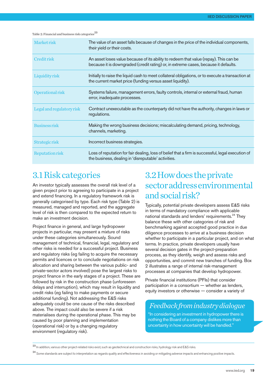#### Table 2: Financial and business risk categories 23

| Market risk               | The value of an asset falls because of changes in the price of the individual components,<br>their yield or their costs.                                                     |
|---------------------------|------------------------------------------------------------------------------------------------------------------------------------------------------------------------------|
| Credit risk               | An asset loses value because of its ability to redeem that value (repay). This can be<br>because it is downgraded (credit rating) or, in extreme cases, because it defaults. |
| <b>Liquidity risk</b>     | Initially to raise the liquid cash to meet collateral obligations, or to execute a transaction at<br>the current market price (funding versus asset liquidity).              |
| Operational risk          | Systems failure, management errors, faulty controls, internal or external fraud, human<br>error, inadequate processes.                                                       |
| Legal and regulatory risk | Contract unexecutable as the counterparty did not have the authority, changes in laws or<br>regulations.                                                                     |
| Business risk             | Making the wrong business decisions; miscalculating demand, pricing, technology,<br>channels, marketing.                                                                     |
| Strategic risk            | Incorrect business strategies.                                                                                                                                               |
| <b>Reputation risk</b>    | Loss of reputation for fair dealing, loss of belief that a firm is successful, legal execution of<br>the business, dealing in 'disreputable' activities.                     |

# 3.1Riskcategories

An investor typically assesses the overall risk level of a given project prior to agreeing to participate in a project and extend financing. In a regulatory framework risk is generally categorised by type. Each risk type (Table 2) is measured, managed and reported, and the aggregate level of risk is then compared to the expected return to make an investment decision.

Project finance in general, and large hydropower projects in particular, may present a mixture of risks under these categories simultaneously. Sound management of technical, financial, legal, regulatory and other risks is needed for a successful project. Business and regulatory risks (eg failing to acquire the necessary permits and licences or to conclude negotiations on risk allocation and sharing between the various public- and private-sector actors involved) pose the largest risks to project finance in the early stages of a project. These are followed by risk in the construction phase (unforeseen delays and interruption), which may result in liquidity and credit risks (eg failing to make payments or secure additional funding). Not addressing the E&S risks adequately could be one cause of the risks described above. The impact could also be severe if a risk materialises during the operational phase. This may be caused by poor planning and implementation (operational risk) or by a changing regulatory environment (regulatory risk).

# 3.2Howdoestheprivate sectoraddressenvironmental and social risk?

Typically, potential private developers assess E&S risks in terms of mandatory compliance with applicable national standards and lenders' requirements.<sup>24</sup> They balance these with other categories of risk and benchmarking against accepted good practice in due diligence processes to arrive at a business decision whether to participate in a particular project, and on what terms. In practice, private developers usually have several decision gates in the project-preparation process, as they identify, weigh and assess risks and opportunities, and commit new tranches of funding. Box 2 illustrates a range of internal risk-management processes at companies that develop hydropower.

Private financial institutions (PFIs) that consider participation in a consortium — whether as lenders, equity investors or otherwise — consider a variety of

## *Feedbackfromindustrydialogue*

"In considering an investment in hydropower there is nothing the Board of a company dislikes more than uncertainty in how uncertainty will be handled."

<sup>23</sup> In addition, various other project-related risks exist, such as geotechnical and construction risks, hydrology risk and E&S risks.

<sup>&</sup>lt;sup>24</sup> Some standards are subject to interpretation as regards quality and effectiveness in avoiding or mitigating adverse impacts and enhancing positive impacts.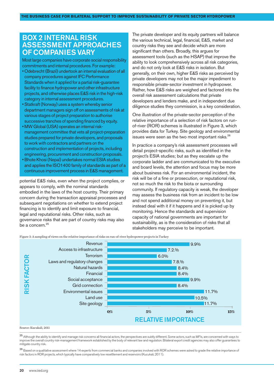## BOX 2 INTERNAL RISK ASSESSMENT APPROACHES OF COMPANIES VARY

Most large companies have corporate social responsibility commitments and internal procedures. For example:

- Odebrecht (Brazil) undertook an internal evaluation of all company procedures against IFC Performance Standards when it applied for a partial risk-guarantee facility to finance hydropower and other infrastructure projects, and otherwise places E&S risk in the high-risk category in internal assessment procedures.
- Statkraft (Norway) uses a system whereby senior department managers sign off on assessments of risk at various stages of project preparation to authorise successive tranches of spending financed by equity.
- MW Global (USA) operates an internal riskmanagement committee that vets all project-preparation studies prepared for private developers, and proposals to work with contractors and partners on the construction and implementation of projects, including engineering, procurement and construction proposals.
- Bhote Khosi (Nepal) undertakes normal ESIA studies and applies the ISO1400 family of standards as part of a continuous improvement process in E&S management.

potential E&S risks, even when the project complies, or appears to comply, with the nominal standards embodied in the laws of the host country. Their primary concern during the transaction appraisal processes and subsequent negotiations on whether to extend project financing is to identify and limit exposure to financial, legal and reputational risks. Other risks, such as governance risks that are part of country risks may also be a concern. 25

The private developer and its equity partners will balance the various technical, legal, financial, E&S, market and country risks they see and decide which are more significant than others. Broadly, this argues for assessment tools (such as the HSAP) that improve the ability to look comprehensively across all risk categories, and do not only look at E&S risks in isolation. But generally, on their own, higher E&S risks as perceived by private developers may not be the major impediment to responsible private-sector investment in hydropower. Rather, how E&S risks are weighed and factored into the overall risk assessment calculations that private developers and lenders make, and in independent due diligence studies they commission, is a key consideration.

One illustration of the private-sector perception of the relative importance of a selection of risk factors on runof-river (ROR) schemes is illustrated in Figure 3, which provides data for Turkey. Site geology and environmental issues were seen as the two most important risks.<sup>26</sup>

In practice a company's risk assessment processes will detail project-specific risks, such as identified in the project's ESIA studies; but as they escalate up the corporate ladder and are communicated to the executive and board levels, the attention and focus may be more about business risk. For an environmental incident, the risk will be of a fine or prosecution, or reputational risk, not so much the risk to the biota or surrounding community. If regulatory capacity is weak, the developer may assess the business risk from an incident to be low and not spend additional money on preventing it, but instead deal with it if it happens and it is picked up by monitoring. Hence the standards and supervision capacity of national governments are important for sustainability, as is the consideration of risks that all stakeholders may perceive to be important.

Figure 3: A sampling of views on the relative importance of risks on run-of-river hydropower projects in Turkey



#### Source: Kucukali, 2011

25 Although the ability to identify and manage risk concerns all financial actors, the perspectives are subtly different. Some actors, such as MFIs, are concerned with ways to improve the overall country risk-management framework established by the body of relevant law and regulation. Bilateral export credit agencies may also offer guarantees to mitigate country risk.

<sup>26</sup> Based on a qualitative assessment where 14 experts from commercial banks and companies involved with ROR schemes were asked to grade the relative importance of risk factors in ROR projects, which typically have comparatively low resettlement and reservoirs (Kucukali, 2011).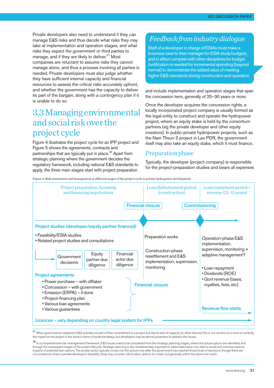Private developers also need to understand if they can manage E&S risks and thus decide what risks they may take at implementation and operation stages, and what risks they expect the government or third parties to manage, and if they are likely to deliver.<sup>27</sup> Most companies are reluctant to assume risks they cannot manage alone, and thus a process involving all parties is needed. Private developers must also judge whether they have sufficient internal capacity and financial resources to assess the critical risks accurately upfront, and whether the government has the capacity to deliver its part of the bargain, along with a contingency plan if it is unable to do so.

# 3.3Managingenvironmental andsocial riskover the project cycle

Figure 4 illustrates the project cycle for an IPP project and Figure 5 shows the agreements, contracts and partnerships that are typically put in place. <sup>28</sup> Apart from strategic planning where the government decides the regulatory framework, including national E&S standards to apply, the three main stages start with project preparation

## *Feedbackfromindustrydialogue*

Staff of a developer in charge of ESIAs must make a business case to their manager for ESIA study budgets, and in effect compete with other disciplines for budget. Justification is needed forincremental spending (beyond normal) to demonstrate the added value of meeting higher E&S standards during construction and operation.

and include implementation and operation stages that span the concession term, generally of 25–30 years or more.

Once the developer acquires the concession rights, a locally incorporated project company is usually formed as the legal entity to construct and operate the hydropower project, where an equity stake is held by the consortium partners (eg the private developer and other equity investors). In public-private hydropower projects, such as the Nam Theun 2 project in Lao PDR, the government itself may also take an equity stake, which it must finance.

### Preparation phase

Typically, the developer (project company) is responsible for the project-preparation studies and bears all expenses

Figure 4: Risk assessment and management at different stages of the project cycle in private hydropower development



27 When governments implement E&S activities as part of their commitment to a project, but due to lack of capacity (or other failures) this is not carried out in time or correctly, the impact on the project is the same in terms of potential delays, but developers may be almost powerless to address the issues.

<sup>28</sup> In a comprehensive risk-management framework, E&S issues need to be considered from the strategic planning stages, where the actual options are identified, and through the subsequent stages of the project lifecycle. Strategic planning is also fundamentally important to select alternative river sites to avoid and minimise adverse impacts of potential dam options. The private sector typically comes into the picture only after the government has reached those kinds of decisions, though there are circumstances where a private developer's feasibility study may consider site location options for a dam, but generally within the same river reach.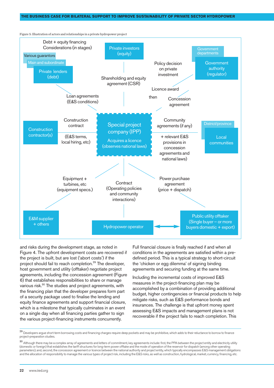

Figure 5: Illustration of actors and relationships in a private hydropower project

and risks during the development stage, as noted in Figure 4. The upfront development costs are recovered if the project is built, but are lost ('abort costs') if the project should fail to reach completion. <sup>29</sup> The developer, host government and utility (offtaker) negotiate project agreements, including the concession agreement (Figure 6) that establishes responsibilities to share or manage various risk. <sup>30</sup> The studies and project agreements, with the financing plan that the developer prepares form part of a security package used to finalise the lending and equity finance agreements and support financial closure, which is a milestone that typically culminates in an event on a single day when all financing parties gather to sign the various project-financing instruments concurrently.

Full financial closure is finally reached if and when all conditions in the agreements are satisfied within a predefined period. This is a typical strategy to short-circuit the 'chicken or egg dilemma' of signing binding agreements and securing funding at the same time.

Including the incremental costs of improved E&S measures in the project-financing plan may be accomplished by a combination of providing additional budget, higher contingencies or financial products to help mitigate risks, such as E&S performance bonds and insurances. The challenge is that upfront money spent assessing E&S impacts and management plans is not recoverable if the project fails to reach completion. This

<sup>29</sup> Developers argue short-term borrowing costs and financing charges require deep pockets and may be prohibitive, which adds to their reluctance to borrow to finance project-preparation studies.

<sup>30</sup> Although there may be a complex array of agreements and letters of commitment, key agreements include: first, the PPA between the project entity and electricity utility (domestic or foreign) that establishes the tariff structures for long-term power offtake and the mode of operation of the reservoir for dispatch (among other operating parameters); and, second, the concession agreement or licence between the national authority and project entity, which typically encompasses E&S management obligations and the allocation of responsibility to manage the various types of project risk, including the E&S risks, as well as construction, hydrological, market, currency, financing, etc.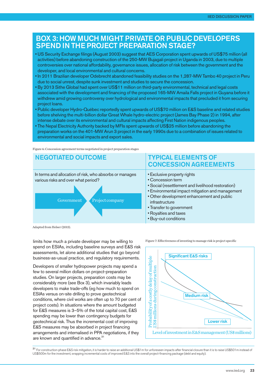## BOX 3: HOW MUCH MIGHT PRIVATE OR PUBLIC DEVELOPERS SPEND IN THE PROJECT PREPARATION STAGE?

- US Security Exchange filings (August 2003) suggest that AES Corporation spent upwards of US\$75 million (all activities) before abandoning construction of the 250-MW Bujagali project in Uganda in 2003, due to multiple controversies over national affordability, governance issues, allocation of risk between the government and the developer, and local environmental and cultural concerns.
- In 2011 Brazilian developer Odebrecht abandoned feasibility studies on the 1,287-MW Tambo 40 project in Peru due to social unrest, despite sunk investment and studies to secure the concession.
- By 2013 Sithe Global had spent over US\$11 million on third-party environmental, technical and legal costs associated with the development and financing of the proposed 165-MW Amaila Falls project in Guyana before it withdrew amid growing controversy over hydrological and environmental impacts that precluded it from securing project loans.
- Public developer Hydro-Québec reportedly spent upwards of US\$70 million on E&S baseline and related studies before shelving the multi-billion dollar Great Whale hydro-electric project (James Bay Phase 2) in 1994, after intense debate over its environmental and cultural impacts affecting First Nation indigenous peoples.
- The Nepal Electricity Authority backed by MFIs spent upwards of US\$25 million before abandoning the preparation works on the 401-MW Arun 3 project in the early 1990s due to a combination of issues related to environmental and social impacts and export sales.

Figure 6: Concession agreement terms negotiated in project preparation stages



Adapted from Helser (2013).

limits how much a private developer may be willing to spend on ESIAs, including baseline surveys and E&S risk assessments, let alone additional studies that go beyond business-as-usual practice, and regulatory requirements.

Developers of smaller hydropower projects may spend a few to several million dollars on project-preparation studies. On larger projects, preparation costs may be considerably more (see Box 3), which invariably leads developers to make trade-offs (eg how much to spend on ESIAs versus on-site drilling to prove geotechnical conditions, where civil works are often up to 70 per cent of project costs). In situations where the amount budgeted for E&S measures is 3–5% of the total capital cost, E&S spending may be lower than contingency budgets for geotechnical risk. Thus the incremental cost of improving E&S measures may be absorbed in project financing arrangements and internalised in PPA negotiations, if they are known and quantified in advance.<sup>31</sup>

Figure 7: Effectiveness of investing to manage risk is project specific



<sup>31</sup> For construction-phase E&S risk mitigation, it is harder to raise an additional US\$1m for unforeseen impacts after financial closure than it is to raise US\$501m instead of US\$500m for the investment, wrapping incremental costs of improved E&S into the overall project-financing package (debt and equity).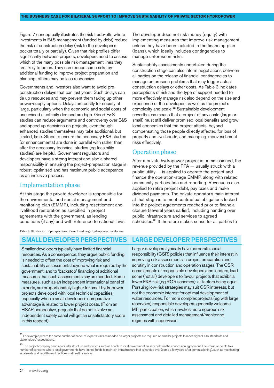Figure 7 conceptually illustrates the risk trade-offs where investments in E&S management (funded by debt) reduce the risk of construction delay (risk to the developer's pocket totally or partially). Given that risk profiles differ significantly between projects, developers need to assess which of the many possible risk-management lines they are likely to be on. They can reduce some risks by additional funding to improve project preparation and planning; others may be less responsive.

Governments and investors also want to avoid preconstruction delays that can last years. Such delays can tie up resources and may prevent them taking up other power-supply options. Delays are costly for society at large, particularly when the economic and social costs of unserviced electricity demand are high. Good E&S studies can reduce arguments and controversy over E&S and speed up decisions on projects, even though enhanced studies themselves may take additional, but limited, time. Steps to ensure the necessary E&S studies (or enhancements) are done in parallel with rather than after the necessary technical studies (eg feasibility studies) are helpful. Government regulators and developers have a strong interest and also a shared responsibility in ensuring the project-preparation stage is robust, optimised and has maximum public acceptance as an inclusive process.

### Implementationphase

At this stage the private developer is responsible for the environmental and social management and monitoring plan (EMMP), including resettlement and livelihood restoration as specified in project agreements with the government, as lending conditions (if any) and with reference to national laws.

Table 3: Illustration of perspectives of small and large hydropower developers

Smaller developers typically have limited financial resources. As a consequence, they argue public funding is needed to offset the cost of improving risk and sustainability assessments beyond what is required by the government, and to 'backstop' financing of additional measures that such assessments say are needed. Some measures, such as an independent international panel of experts, are proportionately higher for small hydropower projects developed with local technical capacities, especially when a small developer's comparative advantage is related to lower project costs. (From an HSAP perspective, projects that do not involve an independent safety panel will get an unsatisfactory score in this respect).

The developer does not risk money (equity) with implementing measures that improve risk management, unless they have been included in the financing plan (loans), which ideally includes contingencies to manage unforeseen risks.

Sustainability assessments undertaken during the construction stage can also inform negotiations between all parties on the release of financial contingencies to manage unforeseen problems that may trigger actual construction delays or other costs. As Table 3 indicates, perceptions of risk and the type of support needed to more effectively manage risk also depend on the size and experience of the developer, as well as the project's complexity and scale.<sup>32</sup> Sustainable development nevertheless means that a project of any scale (large or small) must still deliver promised local benefits and grow local economies that the project affects, beyond compensating those people directly affected for loss of property and livelihoods, and managing impoverishment risks effectively.

### Operation phase

After a private hydropower project is commissioned, the revenue provided by the PPA — usually struck with a public utility — is applied to operate the project and finance the operation-stage EMMP, along with related community participation and reporting. Revenue is also applied to retire project debt, pay taxes and make dividend payments. The private operator's main interest at that stage is to meet contractual obligations locked into the project agreements reached prior to financial closure (several years earlier), including handing over public infrastructure and services to agreed schedules.<sup>33</sup> It therefore makes sense for all parties to

## SMALL DEVELOPER PERSPECTIVES | LARGE DEVELOPER PERSPECTIVES

Larger developers typically have corporate social responsibility (CSR) policies that influence their interest in improving risk assessments in project preparation and scrutiny in construction and operation stages. The CSR commitments of responsible developers and lenders, lead some (not all) developers to favour projects that exhibit a lower E&S risk (eg ROR schemes), all factors being equal. Pursuing low-risk strategies may suit CSR interests, but not the economic interest for optimal development of water resources. For more complex projects (eg with large reservoirs) responsible developers generally welcome MFI participation, which invokes more rigorous risk assessment and detailed management/monitoring regimes with supervision.

32 For example, where the same number of panel-of-experts visits as needed on larger projects are required on smaller projects to meet higher ESIA standards and stakeholders' expectations.

<sup>33</sup> The project company hands over infrastructure and services such as health to local government on schedules in the concession agreement. The literature points to a number of concerns where local governments have limited funds to maintain infrastructure that is handed over (some a few years after commissioning), such as maintaining local roads and resettlement facilities and health services.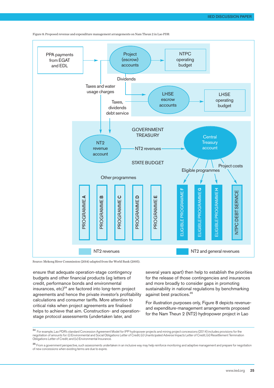

Figure 8: Proposed revenue and expenditure management arrangements on Nam Theun 2 in Lao PDR

Source: Mekong River Commission (2014) adapted from the World Bank (2005).

ensure that adequate operation-stage contingency budgets and other financial products (eg letters of credit, performance bonds and environmental insurances, etc) <sup>34</sup> are factored into long-term project agreements and hence the private investor's profitability calculations and consumer tariffs. More attention to critical risks when project agreements are finalised helps to achieve that aim. Construction- and operationstage protocol assessments (undertaken later, and

several years apart) then help to establish the priorities for the release of those contingencies and insurances and more broadly to consider gaps in promoting sustainability in national regulations by benchmarking against best practices. 35

For illustration purposes only, Figure 8 depicts revenueand expenditure-management arrangements proposed for the Nam Theun 2 (NT2) hydropower project in Lao

<sup>34</sup> For example, Lao PDR's standard Concession Agreement Model for IPP hydropower projects and mining project concessions (2014) includes provisions for the negotiation of amounts for: (i) Environmental and Social Obligations Letter of Credit; (ii) Unanticipated Adverse Impacts Letter of Credit; (iii) Resettlement Termination Obligations Letter of Credit; and (iv) Environmental Insurance.

<sup>35</sup> From a government perspective, such assessments undertaken in an inclusive way may help reinforce monitoring and adaptive management and prepare for negotiation of new concessions when existing terms are due to expire.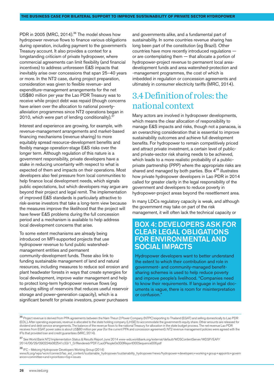PDR in 2005 (MRC, 2014).<sup>36</sup> The model shows how hydropower revenue flows to finance various obligations during operation, including payment to the government's Treasury account. It also provides a context for a longstanding criticism of private hydropower, where commercial agreements can limit flexibility (and financial incentives) to address unforeseen E&S impacts that inevitably arise over concessions that span 25–40 years or more. In the NT2 case, during project preparation, consideration was given to flexible revenue- and expenditure-management arrangements for the net US\$80 million per year the Lao PDR Treasury was to receive while project debt was repaid (though concerns have arisen over the allocation to national povertyalleviation programmes since NT2 operations began in 2010, which were part of lending conditionality).<sup>37</sup>

Interest and experience are growing, for example, with revenue-management arrangements and market-based financing mechanisms (revenue sharing) to more equitably spread resource-development benefits and flexibly manage operation-stage E&S risks over the longer term. Although regulation of this nature is a government responsibility, private developers have a stake in reducing uncertainty with respect to what is expected of them and impacts on their operations. Most developers also feel pressure from local communities to help finance local development needs, which signals public expectations, but which developers may argue are beyond their project and legal remit. The implementation of improved E&S standards is particularly attractive to risk-averse investors that take a long-term view because the measures improve the likelihood that the project will have fewer E&S problems during the full concession period and a mechanism is available to help address local development concerns that arise.

To some extent mechanisms are already being introduced on MFI-supported projects that use hydropower revenue to fund public watershedmanagement entities and permanent community-development funds. These also link to funding sustainable management of land and natural resources, including measures to reduce soil erosion and plant headwater forests in ways that create synergies for local development, improve water management and help to protect long-term hydropower revenue flows (eg reducing silting of reservoirs that reduces useful reservoir storage and power-generation capacity), which is a significant benefit for private investors, power purchasers and governments alike, and a fundamental part of sustainability. In some countries revenue sharing has long been part of the constitution (eg Brazil). Other countries have more recently introduced regulations or are contemplating them — that allocate a portion of hydropower-project revenue to permanent local areadevelopment funds and area watershed-protection and -management programmes, the cost of which is imbedded in regulation or concession agreements and ultimately in consumer electricity tariffs (MRC, 2014).

## 3.4 Definition of roles: the nationalcontext

Many actors are involved in hydropower developments, which means the clear allocation of responsibility to manage E&S impacts and risks, though not a panacea, is an overarching consideration that is essential to improve sustainability outcomes and achieve full development benefits. For hydropower to remain competitively priced and attract private investment, a certain level of publicand private-sector risk sharing needs to be achieved, which leads to a more realistic probability of a publicprivate partnership (PPP) where the appropriate risks are shared and managed by both parties. Box  $4^{38}$  illustrates how private hydropower developers in Lao PDR in 2014 called for greater clarity in the legal responsibility of the government and developers to reduce poverty in hydropower-project areas beyond the resettlement area.

In many LDCs regulatory capacity is weak, and although the government may take on part of the risk management, it will often lack the technical capacity or

## BOX 4: DEVELOPERS ASK FOR CLEAR LEGAL OBLIGATIONS FOR ENVIRONMENTAL AND SOCIAL IMPACTS

Hydropower developers want to better understand the extent to which their contribution and role in government- and community-managed benefitsharing schemes is used to help reduce poverty and improve people's livelihood. "Companies need to know their requirements. If language in legal documents is vague, there is room for misinterpretation or confusion."

<sup>38</sup> IFC – Mekong Hydropower Developers Working Group (2014)

<sup>36</sup> Project revenue is derived from PPA agreements between the Nam Theun 2 Power Company (NTPC) exporting to Thailand (EGAT) and selling domestically to Lao PDR (EDL). After operating expenses, revenue is allocated to the state holding company (LHSE) to accommodate the government's equity share. Other amounts are released for dividend and debt service arrangements. The balance of the revenue flows to the national Treasury for allocation in the state budget process. The net revenue Lao PDR receives from EGAT power sales is about US\$80 million per year (for the current PPA and concession agreement). NT2 revenue management policies were agreed with the IFIs that provided loan and credit guarantees (MRC, 2014).

<sup>37</sup> See World Bank NT2 Implementation Status & Results Report June 2014 [www-wds.worldbank.org/external/default/WDSContentServer/WDSP/EAP/](www-wds.worldbank.org/external/default/WDSContentServer/WDSP/EAP/2014/06/29/090224b082541c33/1_0/Rendered/PDF/Lao0People0s0D0Report000Sequence006.pdf) [2014/06/29/090224b082541c33/1\\_0/Rendered/PDF/Lao0People0s0D0Report000Sequence006.pdf](www-wds.worldbank.org/external/default/WDSContentServer/WDSP/EAP/2014/06/29/090224b082541c33/1_0/Rendered/PDF/Lao0People0s0D0Report000Sequence006.pdf)

www.ifc.org/wps/wcm/connect/lao\_ext\_content/sustainable\_hydropower/sustainability\_hydropower/news/hydropower+developers+working+group+appoints+govern ance+committee+and+prioritizes+top+issues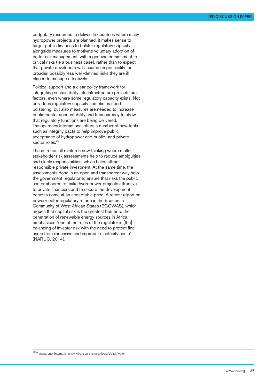budgetary resources to deliver. In countries where many hydropower projects are planned, it makes sense to target public finances to bolster regulatory capacity alongside measures to motivate voluntary adoption of better risk management, with a genuine commitment to critical risks (ie a business case), rather than to expect that private developers will assume responsibility for broader, possibly less well-defined risks they are ill placed to manage effectively.

Political support and a clear policy framework for integrating sustainability into infrastructure projects are factors, even where some regulatory capacity exists. Not only does regulatory capacity sometimes need bolstering, but also measures are needed to increase public-sector accountability and transparency to show that regulatory functions are being delivered. Transparency International offers a number of new tools such as integrity pacts to help improve public acceptance of hydropower and public- and privatesector roles.<sup>39</sup>

These trends all reinforce new thinking where multistakeholder risk assessments help to reduce ambiguities and clarify responsibilities, which helps attract responsible private investment. At the same time, the assessments done in an open and transparent way help the government regulator to ensure that risks the public sector absorbs to make hydropower projects attractive to private financiers and to secure the development benefits come at an acceptable price. A recent report on power-sector regulatory reform in the Economic Community of West African States (ECOWAS), which argues that capital risk is the greatest barrier to the penetration of renewable energy sources in Africa, emphasises "one of the roles of the regulator is [the] balancing of investor risk with the need to protect final users from excessive and improper electricity costs" (NARUC, 2014).

<sup>39</sup> Transparency International www.transparency.org/topic/detail/water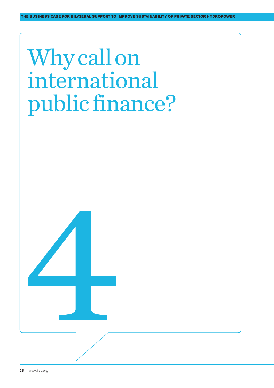# Why call on international public finance?

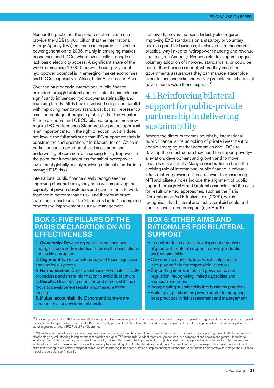Neither the public nor the private sectors alone can provide the US\$10,000 billion that the International Energy Agency (IEA) estimates is required to invest in power generation to 2035, mainly in emerging-market economies and LDCs, where over 1 billion people still lack basic electricity access. A significant share of the world's remaining 13,000 terawatt hours per year of hydropower potential is in emerging-market economies and LDCs, especially in Africa, Latin America and Asia.

Over the past decade international public finance extended through bilateral and multilateral channels has significantly influenced hydropower sustainability and financing trends. MFIs have increased support in parallel with improving mandatory standards, but still represent a small percentage of projects globally. That the Equator Principle lenders and OECD bilateral programmes now require IFC Performance Standards for project appraisal is an important step in the right direction, but still does not invoke the full monitoring that IFC support extends in construction and operation. <sup>40</sup> In bilateral terms, China in particular has stepped up official assistance and underwriting of commercial financing for hydropower to the point that it now accounts for half of hydropower investment globally, mainly applying national standards to manage E&S risks.

International public finance clearly recognises that improving standards is synonymous with improving the capacity of private developers and governments to work together to better manage risk, and thereby improve investment conditions. The 'standards ladder', undergoing progressive improvement as a risk-management

## BOX 5: FIVE PILLARS OF THE PARIS DECLARATION ON AID **EFFECTIVENESS**

1. Ownership: Developing countries set their own strategies for poverty reduction, improve their institutions and tackle corruption.

2. Alignment: Donor countries suppor<sup>t</sup> these objectives and use local systems.

3. Harmonisation: Donor countries co-ordinate, simplify procedures and share information to avoid duplication. 4. Results: Developing countries and donors shift their focus to development results, and measure those

results.

5. Mutual accountability: Donors and partners are accountable for development results.

framework, proves the point. Industry also regards improving E&S standards on a statutory or voluntary basis as good for business, if achieved in a transparent, practical way linked to hydropower financing and revenue streams (see Annex 1). Responsible developers suggest voluntary adoption of improved standards is, or could be, part of their business model, where they can offer governments assurances they can manage stakeholder expectations and risks and deliver projects on schedule, if governments value those aspects. 41

# 4.1Reinforcingbilateral support for public-private partnershipindelivering sustainability

Among the direct outcomes sought by international public finance is the unlocking of private investment to enable emerging-market economies and LDCs to develop the infrastructure they need to support povertyalleviation, development and growth and to move towards sustainability. Many considerations shape the evolving role of international public finance in privateinfrastructure provision. Those relevant to considering MFI and bilateral roles include the alignment of public support through MFI and bilateral channels, and the calls for result-oriented approaches, such as the Paris Declaration on Aid Effectiveness (2005), which recognises that bilateral and multilateral aid could and should have a greater impact (see Box 5).

## BOX 6: OTHER AIMS AND RATIONALES FOR BILATERAL SUPPORT

- To contribute to national development objectives aligned with bilateral support in poverty reduction and sustainability.
- Overcoming market failure, which helps ensure a level playing field for responsible investors.
- Supporting improvements in governance and regulation, recognising limited capacities and financial resources.
- Incorporating sustainability into business practices.
- Building capacity in the private sector for adopting best practices in risk assessment and management.

<sup>40</sup> For example, when the UK Commonwealth Development Corporation applies IFC Performance Standards in project-preparation stages and to appraise potential support for private-sector hydropower projects in ODA, though highly positive, the full implementation and oversight capacity of the IFC for implementation is not engaged in the same degree as an actual IFC Partial Risk Guarantee.

<sup>41</sup> When the government process to select a private developer is competitive (ie competitive bidding for a license), a responsible developer may place itself at a commercial disadvantage by volunteering to implement best practice or higher E&S standards (ie adopt more costly measures for environment and social management) than those legally required. This is especially a concern if the country places little value on the improvement of project-related risk management and sustainability, or has no mechanism in place to account for those aspects in selecting among the competing bids of potential private developers. On the other hand, some responsible developers and investors claim that offering to implement best practice (equivalent to offering to use best practice or implement higher standards) is part of their comparative advantage and business model, or could be (See Annex 1).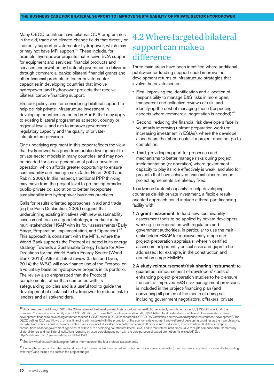Many OECD countries have bilateral ODA programmes in the aid, trade and climate-change fields that directly or indirectly support private-sector hydropower, which may or may not have MFI support.<sup>42</sup> These include, for example: hydropower projects that receive ECA support for equipment and services; financial products and services underwritten by bilateral governments delivered through commercial banks; bilateral financial grants and other financial products to foster private-sector capacities in developing countries that involve hydropower; and hydropower projects that receive bilateral carbon-financing support.

Broader policy aims for considering bilateral support to help de-risk private-infrastructure investment in developing countries are noted in Box 6, that may apply to existing bilateral programmes at sector, country or regional levels, and aim to improve government regulatory capacity and the quality of privateinfrastructure provision.

One underlying argument in this paper reflects the view that hydropower has gone from public development to private-sector models in many countries, and may now be headed for a next generation of public-private cooperation, which affords greater opportunity to ensure sustainability and manage risks (after Head, 2000 and Rabin, 2008). In this respect, traditional PPP thinking may move from the project level to promoting broader public-private collaboration to better incorporate sustainability into hydropower business practices.

Calls for results-oriented approaches in aid and trade (eg the Paris Declaration, 2005) suggest that underpinning existing initiatives with new sustainability assessment tools is a good strategy, in particular the multi-stakeholder HSAP with its four assessments (Early Stage, Preparation, Implementation, and Operation).<sup>43</sup> This approach is consistent with the MFIs, where the World Bank supports the Protocol as noted in its energy strategy, Towards a Sustainable Energy Future for All— Directions for the World Bank's Energy Sector (World Bank, 2013). After its latest review (Liden and Lyon, 2014) the WBG will now finance use of the Protocol on a voluntary basis on hydropower projects in its portfolio. The review also emphasized that the Protocol complements, rather than competes with its safeguarding policies and is a useful tool to guide the development of sustainable hydropower to reduce risk to lenders and all stakeholders.

# 4.2 Where targeted bilateral support can make a difference

Three main areas have been identified where additional public-sector funding support could improve the development returns of infrastructure strategies that involve the private sector:

- First, improving the identification and allocation of responsibility to manage E&S risks in more open, transparent and collective reviews of risk, and identifying the cost of managing those (respecting aspects where commercial negotiation is needed).<sup>44</sup>
- Second, reducing the financial risk developers face in voluntarily improving upfront preparation work (eg increasing investment in ESIAs), where the developer alone bears the 'abort costs' if a project does not go to completion.
- Third, providing support for processes and mechanisms to better manage risks during project implementation (or operation) where government capacity to play its role effectively is weak, and also for projects that have achieved financial closure hence project agreements are already fixed.

To advance bilateral capacity to help developing countries de-risk private investment, a flexible resultoriented approach could include a three-part financing facility with:

- 1 A grant instrument: to fund new sustainability assessment tools to be applied by private developers working in co-operation with regulators and government authorities, in particular to use the multistakeholder HSAP for inclusive early-stage and project-preparation appraisals, wherein certified assessors help identify critical risks and gaps to be addressed; for example, in the construction and operation stage EMMPs.
- 2 A study-reimbursement/risk-sharing instrument: to guarantee reimbursement of developers' costs of enhancing project-preparation studies to help ensure the cost of improved E&S risk-management provisions is included in the project-financing plan (and convincing all parties of the merits of doing so, including government negotiators, offtakers, private

43 See www.hydrosustainability.org for further information on the four protocol assessments.

<sup>42</sup> As a measure of aid flows, in 2013 the 28 members of the Development Assistance Committee (DAC) reportedly contributed about US\$135 billion as ODA, the European Commission as an entity about US\$15.9 billion, and non-DAC countries an additional US\$9.4 billion. Total bilateral and multilateral climate-related external development finance to developing countries reached US\$37 billion in 2013 (as recorded in OECD DAC statistics; see www.oecd.org/dac/environment-development). The OECD defines ODA as: "Flows of official financing administered with the promotion of the economic development and welfare of developing countries as the main objective, and which are concessional in character with a grant element of at least 25 percent (using a fixed 10 percent rate of discount). By convention, ODA flows comprise contributions of donor government agencies, at all levels, to developing countries ('bilateral ODA') and to multilateral institutions. ODA receipts comprise disbursements by bilateral donors and multilateral institutions. Lending by export credit agencies—with the pure purpose of export promotion—is excluded." See http://stats.oecd.org/glossary/detail.asp?ID=6043

<sup>&</sup>lt;sup>44</sup> Putting the issues on the table so that different actors in an open, transparent and collective review, can assume risks (or as necessary negotiate responsibility for dealing with them), and include the costs in the project budget.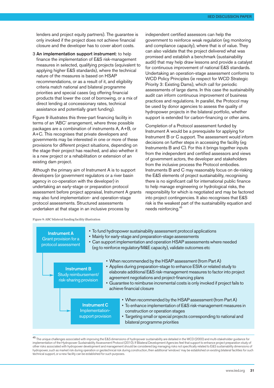IIED DISCUSSION PAPER

lenders and project equity partners). The guarantee is only invoked if the project does not achieve financial closure and the developer has to cover abort costs.

3 An implementation support instrument: to help finance the implementation of E&S risk-management measures in selected, qualifying projects (equivalent to applying higher E&S standards), where the technical nature of the measures is based on HSAP recommendations, or as a result of it, and eligibility criteria match national and bilateral programme priorities and special cases (eg offering financial products that lower the cost of borrowing, or a mix of direct lending at concessionary rates, technical assistance and potentially grant funding).

Figure 9 illustrates this three-part financing facility in terms of an 'ABC' arrangement, where three possible packages are a combination of instruments A, A+B, or A+C. This recognises that private developers and governments may be interested in one or more of these provisions for different project situations, depending on the stage their project has reached, and also whether it is a new project or a rehabilitation or extension of an existing dam project.

Although the primary aim of Instrument A is to support developers (or government regulators or a river basin agency in co-operation with the developer) in undertaking an early-stage or preparation protocol assessment before project appraisal, Instrument A grants may also fund implementation- and operation-stage protocol assessments. Structured assessments undertaken at that stage in an inclusive process by

independent certified assessors can help the government to reinforce weak regulation (eg monitoring and compliance capacity), where that is of value. They can also validate that the project delivered what was promised and establish a benchmark (sustainability audit) that may help draw lessons and provide a catalyst for continuous improvement of national E&S standards. Undertaking an operation-stage assessment conforms to WCD Policy Principles (ie respect for WCD Strategic Priority 3: Existing Dams), which call for periodic assessments of large dams. In this case the sustainability audit can inform continuous improvement of business practices and regulations. In parallel, the Protocol may be used by donor agencies to assess the quality of hydropower projects in the bilateral portfolio, whether support is extended for carbon-financing or other aims.

Completion of a Protocol assessment funded by Instrument A would be a prerequisite for applying for Instrument B or C support. The assessment would inform decisions on further steps in accessing the facility (eg Instruments B and C). For this it brings together inputs from the independent and certified assessors and views of government actors, the developer and stakeholders from the inclusive process the Protocol embodies. Instruments B and C may reasonably focus on de-risking the E&S elements of project sustainability, recognising there is no significant call for international public finance to help manage engineering or hydrological risks, the responsibility for which is negotiated and may be factored into project contingencies. It also recognises that E&S risk is the weakest part of the sustainability equation and needs reinforcing. 45

Figure 9: ABC bilateral funding facility illustration



<sup>45</sup> The unique challenges associated with improving the E&S dimensions of hydropower sustainability are detailed in the WCD (2000) and multi-stakeholder guidance for implementation of the Hydropower Sustainability Assessment Protocol (2010). If Bilateral Development Agencies feel that support to enhance project preparation study of other risks associated with hydropower development and management should be considered (eg managing risks not specifically related to E&S sustainability dimensions of hydropower, such as market risk during operation or geotechnical risk during construction, then additional 'windows' may be established on existing bilateral facilities for such technical support, or a new facility can be established for such purposes.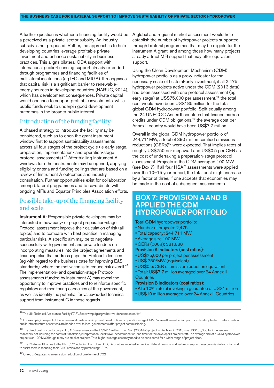A further question is whether a financing facility would be a perceived as a private-sector subsidy. An industry subsidy is not proposed. Rather, the approach is to help developing countries leverage profitable private investment and enhance sustainability in business practices. This aligns bilateral ODA support with international public-financing support already extended through programmes and financing facilities of multilateral institutions (eg IFC and MIGA). It recognises that capital risk is a significant barrier to renewableenergy sources in developing countries (NARUC, 2014), which has development consequences. Private capital would continue to support profitable investments, while public funds seek to underpin good development outcomes in the broader public interest.

### Introduction of the funding facility

A phased strategy to introduce the facility may be considered, such as to open the grant instrument window first to support sustainability assessments across all four stages of the project cycle (ie early-stage, preparation, implementation- and operation-stage protocol assessments). <sup>46</sup> After trialling Instrument A, windows for other instruments may be opened, applying eligibility criteria and funding ceilings that are based on a review of Instrument A outcomes and industry consultation. Further opportunities exist for collaboration among bilateral programmes and to co-ordinate with ongoing MFIs and Equator Principles Association efforts.

### Possible take-up of the financing facility andscale

**Instrument A:** Responsible private developers may be interested in how early- or project preparation-stage Protocol assessment improve their calculation of risk (all topics) and to compare with best practice in managing particular risks. A specific aim may be to negotiate successfully with government and private lenders on incorporating measures into the project agreements and financing plan that address gaps the Protocol identifies (eg with regard to the business case for improving E&S standards), where the motivation is to reduce risk overall.<sup>47</sup> The implementation- and operation-stage Protocol assessments (funded by Instrument A) may reveal the opportunity to improve practices and to reinforce specific regulatory and monitoring capacities of the government, as well as identify the potential for value-added technical support from Instrument C in these regards.

A global and regional market assessment would help establish the number of hydropower projects supported through bilateral programmes that may be eligible for the Instrument A grant, and among those how many projects already attract MFI support that may offer equivalent support.

Using the Clean Development Mechanism (CDM) hydropower portfolio as a proxy indicator for the necessary scale of bilateral-only investment, if all 2,475 hydropower projects active under the CDM (2013 data) had been assessed with one protocol assessment (eg early stage) at US\$75,000 per assessment,<sup>48</sup> the total cost would have been US\$185 million for the total global CDM hydropower portfolio. Split equally among the 24 UNFCCC Annex II countries that finance carbon credits under CDM obligations, <sup>49</sup> the average cost per Annex II country would have been US\$7.7 million.

Overall in the global CDM hydropower portfolio of 244,711MW, a total of 380 million certified emissions reductions (CERs)<sup>50</sup> were expected. That implies rates of roughly US\$750 per megawatt and US\$0.5 per CER as the cost of undertaking a preparation-stage protocol assessment. Projects in the CDM averaged 100 MW (see Box 7). If all four HSAP assessments were applied over the 10–15 year period, the total cost might increase by a factor of three, if one accepts that economies may be made in the cost of subsequent assessments.

## BOX 7: PROVISION A AND B APPLIED THE CDM HYDROPOWER PORTFOLIO

Total CDM hydropower portfolio:

- Number of projects: 2,475
- Total capacity: 244,711 MW
- Average size 100 MW
- CERs (000's): 381.888
- Provision A indicators (cost ratios):
- US\$75,000 per project per assessment
- US\$ 750/MW (equivalent)
- US\$0.5/CER of emission reduction equivalent
- Total: US\$7.7 million averaged over 24 AnnexII **Countries**
- Provision B indicators (cost ratios):
- At a 10% rate of invoking a guarantee of US\$1 million
- US\$10 million averaged over 24 Annex II Countries

<sup>46</sup> The UK Technical Assistance Facility (TAF). See www.pidg.org/what-we-do/companies/taf

<sup>50</sup> One CER equates to an emission reduction of one tonne of CO2.

<sup>47</sup> For example, in respect of the incremental costs of an improved construction- or operation-stage EMMP or resettlement action plan, or extending the term before certain public infrastructure or services are handed over to local governments after project commissioning.

<sup>48</sup> The direct cost of conducting an HSAP assessment on the US\$411 million Trung Son (260 MW) project in Viet Nam in 2013 was US\$130,000 for independent assessors, not including the costs of translation, interpretation, local travel, accommodation, and time for the developer's project staff. The average size of a CDM hydropower project was 100 MW, though many are smaller projects. Thus higher average cost may need to be considered for a wider range of project sizes.

<sup>&</sup>lt;sup>49</sup> The 24 Annex II Parties to the UNFCCC including the EU and OECD countries required to provide bilateral financial and technical support to economies in transition and to assist them in reducing their GHG emissions by purchasing CERs.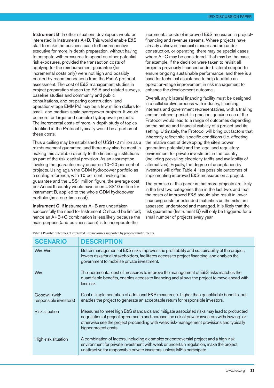**Instrument B:** In other situations developers would be interested in Instruments A+B. This would enable E&S staff to make the business case to their respective executive for more in-depth preparation, without having to compete with pressures to spend on other potential risk exposures, provided the transaction costs of applying for the reimbursement guarantee (for incremental costs only) were not high and possibly backed by recommendations from the Part A protocol assessment. The cost of E&S management studies in project preparation stages (eg ESIA and related surveys, baseline studies and community and public consultations, and preparing construction- and operation-stage EMMPs) may be a few million dollars for small- and medium-scale hydropower projects. It would be more for larger and complex hydropower projects. The incremental costs of more in-depth study of topics identified in the Protocol typically would be a portion of these costs.

Thus a ceiling may be established of US\$1-2 million as a reimbursement guarantee, and there may also be merit in making this available directly to the financing institutions as part of the risk-capital provision. As an assumption, invoking the guarantee may occur on 10–20 per cent of projects. Using again the CDM hydropower portfolio as a scaling reference, with 10 per cent invoking the guarantee and the US\$1 million figure, the average cost per Annex II country would have been US\$10 million for Instrument B, applied to the whole CDM hydropower portfolio (as a one-time cost).

Instrument C: If Instruments A+B are undertaken successfully the need for Instrument C should be limited; hence an  $A + B + C$  combination is less likely because the main purpose (and business case) is to incorporate the

incremental costs of improved E&S measures in projectfinancing and revenue streams. Where projects have already achieved financial closure and are under construction, or operating, there may be special cases where A+C may be considered. That may be the case, for example, if the decision were taken to revisit all projects previously financed under bilateral support to ensure ongoing sustainable performance, and there is a case for technical assistance to help facilitate an operation-stage improvement in risk management to enhance the development outcome.

Overall, any bilateral financing facility must be designed in a collaborative process with industry, financing interests and government representatives, with a trialling and adjustment period. In practice, genuine use of the Protocol would lead to a range of outcomes depending on the nature and financial viability of a project and its setting. Ultimately, the Protocol will bring out factors that inherently reflect site-specific conditions (i.e. affecting the relative cost of developing the site's power generation potential) and the legal and regulatory environment for private investment in the country (including prevailing electricity tariffs and availability of alternatives). Equally, the degree of acceptance by investors will differ. Table 4 lists possible outcomes of implementing improved E&S measures on a project.

The premise of this paper is that more projects are likely in the first two categories than in the last two, and that the costs of improved E&S should also result in lower financing costs or extended maturities as the risks are assessed, understood and managed. It is likely that the risk guarantee (Instrument B) will only be triggered for a small number of projects every year.

Table 4 Possible outcomes of improved E&S measures supported by proposed instruments

| <b>SCENARIO</b>                          | <b>DESCRIPTION</b>                                                                                                                                                                                                                                                                                           |
|------------------------------------------|--------------------------------------------------------------------------------------------------------------------------------------------------------------------------------------------------------------------------------------------------------------------------------------------------------------|
| Win-Win                                  | Better management of E&S risks improves the profitability and sustainability of the project,<br>lowers risks for all stakeholders, facilitates access to project financing, and enables the<br>government to mobilise private investment.                                                                    |
| <b>Win</b>                               | The incremental cost of measures to improve the management of E&S risks matches the<br>quantifiable benefits, enables access to financing and allows the project to move ahead with<br>less risk.                                                                                                            |
| Goodwill (with<br>responsible investors) | Cost of implementation of additional E&S measures is higher than quantifiable benefits, but<br>enables the project to generate an acceptable return for responsible investors.                                                                                                                               |
| <b>Risk situation</b>                    | Measures to meet high E&S standards and mitigate associated risks may lead to protracted<br>negotiation of project agreements and increase the risk of private investors withdrawing; or<br>otherwise see the project proceeding with weak risk-management provisions and typically<br>higher project costs. |
| High-risk situation                      | A combination of factors, including a complex or controversial project and a high-risk<br>environment for private investment with weak or uncertain regulation, make the project<br>unattractive for responsible private investors, unless MFIs participate.                                                 |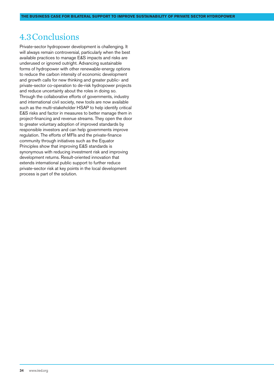## 4.3Conclusions

Private-sector hydropower development is challenging. It will always remain controversial, particularly when the best available practices to manage E&S impacts and risks are underused or ignored outright. Advancing sustainable forms of hydropower with other renewable-energy options to reduce the carbon intensity of economic development and growth calls for new thinking and greater public- and private-sector co-operation to de-risk hydropower projects and reduce uncertainty about the roles in doing so. Through the collaborative efforts of governments, industry and international civil society, new tools are now available such as the multi-stakeholder HSAP to help identify critical E&S risks and factor in measures to better manage them in project-financing and revenue streams. They open the door to greater voluntary adoption of improved standards by responsible investors and can help governments improve regulation. The efforts of MFIs and the private-finance community through initiatives such as the Equator Principles show that improving E&S standards is synonymous with reducing investment risk and improving development returns. Result-oriented innovation that extends international public support to further reduce private-sector risk at key points in the local development process is part of the solution.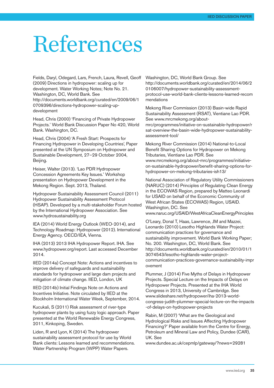# References

Fields, Daryl, Odegard, Lars, French, Laura, Revell, Geoff (2009) Directions in hydropower: scaling up for development. Water Working Notes; Note No. 21. Washington, DC, World Bank. See [http://documents.worldbank.org/curated/en/2009/06/1](http://documents.worldbank.org/curated/en/2009/06/10709396/directions-hydropower-scaling-up-development) [0709396/directions-hydropower-scaling-up](http://documents.worldbank.org/curated/en/2009/06/10709396/directions-hydropower-scaling-up-development)[development](http://documents.worldbank.org/curated/en/2009/06/10709396/directions-hydropower-scaling-up-development)

Head, Chris (2000) 'Financing of Private Hydropower Projects.' World Bank Discussion Paper No 420, World Bank. Washington, DC.

Head, Chris (2004) 'A Fresh Start: Prospects for Financing Hydropower in Developing Countries', Paper presented at the UN Symposium on Hydropower and Sustainable Development, 27–29 October 2004, Beijing.

Heiser, Walter (2013). 'Lao PDR Hydropower Concession Agreements Key Issues.' Workshop presentation on Hydropower Development in the Mekong Region. Sept. 2013, Thailand.

Hydropower Sustainability Assessment Council (2011) Hydropower Sustainability Assessment Protocol (HSAP). Developed by a multi-stakeholder Forum hosted by the International Hydropower Association. See www.hydrosustainability.org

IEA (2014) World Energy Outlook (WEO-2014), and Technology Roadmap: Hydropower (2012). International Energy Agency. OECD/IEA, Vienna.

IHA (2013) 2013 IHA Hydropower Report. IHA. See www.hydropower.org/report. Last accessed December 2014.

IIED (2014a) Concept Note: Actions and incentives to improve delivery of safeguards and sustainability standards for hydropower and large dam projects and mitigation of climate change. IIED, London, UK

IIED (2014b) Initial Findings Note on Actions and Incentives Initiative. Note circulated by IIED at the Stockholm International Water Week, September, 2014.

Kucukali, S (2011) Risk assessment of river-type hydropower plants by using fuzzy logic approach. Paper presented at the World Renewable Energy Congress, 2011, Kinkoping, Sweden.

Liden, R and Lyon, K (2014) The hydropower sustainability assessment protocol for use by World Bank clients: Lessons learned and recommendations. Water Partnership Program (WPP) Water Papers.

Washington, DC, World Bank Group. See [http://documents.worldbank.org/curated/en/2014/06/2](http://documents.worldbank.org/curated/en/2014/06/20106007/hydropower-sustainability-assessment-protocol-use-world-bank-clients-lessons-learned-recommendations) [0106007/hydropower-sustainability-assessment](http://documents.worldbank.org/curated/en/2014/06/20106007/hydropower-sustainability-assessment-protocol-use-world-bank-clients-lessons-learned-recommendations)[protocol-use-world-bank-clients-lessons-learned-recom](http://documents.worldbank.org/curated/en/2014/06/20106007/hydropower-sustainability-assessment-protocol-use-world-bank-clients-lessons-learned-recommendations) [mendations](http://documents.worldbank.org/curated/en/2014/06/20106007/hydropower-sustainability-assessment-protocol-use-world-bank-clients-lessons-learned-recommendations)

Mekong River Commission (2013) Basin-wide Rapid Sustainability Assessment (RSAT), Vientiane Lao PDR. See [www.mrcmekong.org/about](www.mrcmekong.org/about-mrc/programmes/initiative-on-sustainable-hydropower/rsat-overview-the-basin-wide-hydropower-sustainability-assessment-tool/)[mrc/programmes/initiative-on-sustainable-hydropower/r](www.mrcmekong.org/about-mrc/programmes/initiative-on-sustainable-hydropower/rsat-overview-the-basin-wide-hydropower-sustainability-assessment-tool/) [sat-overview-the-basin-wide-hydropower-sustainability](www.mrcmekong.org/about-mrc/programmes/initiative-on-sustainable-hydropower/rsat-overview-the-basin-wide-hydropower-sustainability-assessment-tool/)[assessment-tool/](www.mrcmekong.org/about-mrc/programmes/initiative-on-sustainable-hydropower/rsat-overview-the-basin-wide-hydropower-sustainability-assessment-tool/)

Mekong River Commission (2014) National-to-Local Benefit Sharing Options for Hydropower on Mekong Tributaries, Vientiane Lao PDR. See [www.mrcmekong.org/about-mrc/programmes/initiative](www.mrcmekong.org/about-mrc/programmes/initiative-on-sustainable-hydropower/benefit-sharing-options-for-hydropower-on-mekong-tributaries-ish13/)[on-sustainable-hydropower/benefit-sharing-options-for](www.mrcmekong.org/about-mrc/programmes/initiative-on-sustainable-hydropower/benefit-sharing-options-for-hydropower-on-mekong-tributaries-ish13/)[hydropower-on-mekong-tributaries-ish13/](www.mrcmekong.org/about-mrc/programmes/initiative-on-sustainable-hydropower/benefit-sharing-options-for-hydropower-on-mekong-tributaries-ish13/)

National Association of Regulatory Utility Commissioners (NARUC) (2014) Principles of Regulating Clean Energy in the ECOWAS Region, prepared by Matteo Leonardi for USAID on behalf of the Economic Community of West African States (ECOWAS) Region, USAID. Washington, DC. See <www.naruc.org/USAID/WestAfricaCleanEnergyPrinciples>

O'Leary, Donal T, Haas, Lawrence, JM and Mazzei, Leonardo (2010) Lesotho Highlands Water Project: communication practices for governance and sustainability improvement. World Bank Working Paper; No. 200. Washington, DC, World Bank. See [http://documents.worldbank.org/curated/en/2010/01/1](http://documents.worldbank.org/curated/en/2010/01/13074543/lesotho-highlands-water-project-communication-practices-governance-sustainability-improvement) [3074543/lesotho-highlands-water-project](http://documents.worldbank.org/curated/en/2010/01/13074543/lesotho-highlands-water-project-communication-practices-governance-sustainability-improvement)[communication-practices-governance-sustainability-impr](http://documents.worldbank.org/curated/en/2010/01/13074543/lesotho-highlands-water-project-communication-practices-governance-sustainability-improvement) [ovement](http://documents.worldbank.org/curated/en/2010/01/13074543/lesotho-highlands-water-project-communication-practices-governance-sustainability-improvement)

Plummer, J (2014) Five Myths of Delays in Hydropower Projects. Special Lecture on the Impacts of Delays on Hydropower Projects. Presented at the IHA World Congress in 2013, University of Cambridge. See [www.slideshare.net/hydropower/iha-2013-world](www.slideshare.net/hydropower/iha-2013-world-congress-judith-plummer-special-lecture-on-the-impacts-of-delays-on-hydropower-projects)[congress-judith-plummer-special-lecture-on-the-impacts](www.slideshare.net/hydropower/iha-2013-world-congress-judith-plummer-special-lecture-on-the-impacts-of-delays-on-hydropower-projects) [-of-delays-on-hydropower-projects](www.slideshare.net/hydropower/iha-2013-world-congress-judith-plummer-special-lecture-on-the-impacts-of-delays-on-hydropower-projects)

Rabin, M (2007) 'What are the Geological and Hydrological Risks and Issues Affecting Hydropower Financing?' Paper available from the Centre for Energy, Petroleum and Mineral Law and Policy, Dundee (CAR), UK. See

www.dundee.ac.uk/cepmlp/gateway/?news=29281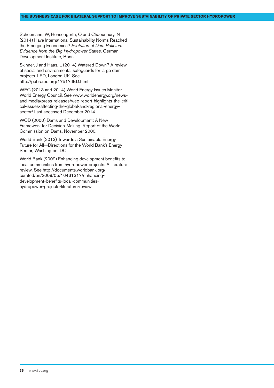Scheumann, W, Hensengerth, O and Chaounhury, N (2014) Have International Sustainability Norms Reached the Emerging Economies? *Evolution of Dam Policies: Evidence from the Big Hydropower States*, German Development Institute, Bonn.

Skinner, J and Haas, L (2014) Watered Down? A review of social and environmental safeguards for large dam projects. IIED, London UK. See http://pubs.iied.org/17517IIED.html

WEC (2013 and 2014) World Energy Issues Monitor. World Energy Council. See [www.worldenergy.org/news](www.worldenergy.org/news-and-media/press-releases/wec-report-highlights-the-critical-issues-affecting-the-global-and-regional-energy-sector/)[and-media/press-releases/wec-report-highlights-the-criti](www.worldenergy.org/news-and-media/press-releases/wec-report-highlights-the-critical-issues-affecting-the-global-and-regional-energy-sector/) [cal-issues-affecting-the-global-and-regional-energy](www.worldenergy.org/news-and-media/press-releases/wec-report-highlights-the-critical-issues-affecting-the-global-and-regional-energy-sector/)[sector/](www.worldenergy.org/news-and-media/press-releases/wec-report-highlights-the-critical-issues-affecting-the-global-and-regional-energy-sector/) Last accessed December 2014.

WCD (2000) Dams and Development: A New Framework for Decision-Making. Report of the World Commission on Dams, November 2000.

World Bank (2013) Towards a Sustainable Energy Future for All—Directions for the World Bank's Energy Sector, Washington, DC.

World Bank (2009) Enhancing development benefits to local communities from hydropower projects: A literature review. See [http://documents.worldbank.org/](http://documents.worldbank.org/curated/en/2009/05/16461317/enhancing-development-benefits-local-communities-hydropower-projects-literature-review ) [curated/en/2009/05/16461317/enhancing](http://documents.worldbank.org/curated/en/2009/05/16461317/enhancing-development-benefits-local-communities-hydropower-projects-literature-review )[development-benefits-local-communities](http://documents.worldbank.org/curated/en/2009/05/16461317/enhancing-development-benefits-local-communities-hydropower-projects-literature-review )[hydropower-projects-literature-review](http://documents.worldbank.org/curated/en/2009/05/16461317/enhancing-development-benefits-local-communities-hydropower-projects-literature-review )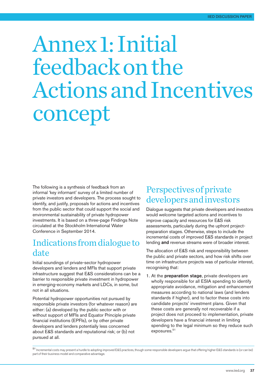# Annex1:Initial feedbackonthe ActionsandIncentives concept

The following is a synthesis of feedback from an informal 'key informant' survey of a limited number of private investors and developers. The process sought to identify, and justify, proposals for actions and incentives from the public sector that could support the social and environmental sustainability of private hydropower investments. It is based on a three-page Findings Note circulated at the Stockholm International Water Conference in September 2014.

# Indications from dialogue to date

Initial soundings of private-sector hydropower developers and lenders and MFIs that support private infrastructure suggest that E&S considerations can be a barrier to responsible private investment in hydropower in emerging-economy markets and LDCs, in some, but not in all situations.

Potential hydropower opportunities not pursued by responsible private investors (for whatever reason) are either: (a) developed by the public sector with or without support of MFIs and Equator Principle private financial institutions (EPFIs), or by other private developers and lenders potentially less concerned about E&S standards and reputational risk; or (b) not pursued at all.

# Perspectives of private developersandinvestors

Dialogue suggests that private developers and investors would welcome targeted actions and incentives to improve capacity and resources for E&S risk assessments, particularly during the upfront projectpreparation stages. Otherwise, steps to include the incremental costs of improved E&S standards in project lending and revenue streams were of broader interest.

The allocation of E&S risk and responsibility between the public and private sectors, and how risk shifts over time on infrastructure projects was of particular interest, recognising that:

1. At the preparation stage, private developers are wholly responsible for all ESIA spending to identify appropriate avoidance, mitigation and enhancement measures according to national laws (and lenders standards if higher), and to factor these costs into candidate projects' investment plans. Given that these costs are generally not recoverable if a project does not proceed to implementation, private developers have a financial interest in limiting spending to the legal minimum so they reduce such exposures. 51

<sup>51</sup> Incremental costs may present a hurdle to adopting improved E&S practices, though some responsible developers argue that offering higher E&S standards is (or can be) part of their business model and comparative advantage.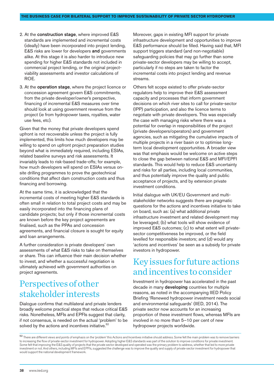- 2. At the construction stage, where improved E&S standards are implemented and incremental costs (ideally) have been incorporated into project lending, E&S risks are lower for developers and governments alike. At this stage it is also harder to introduce new spending for higher E&S standards not included in commercial project lending, or the original projectviability assessments and investor calculations of ROE.
- 3. At the operation stage, where the project licence or concession agreement govern E&S commitments, from the private developer/owner's perspective, financing of incremental E&S measures over time should look at using government revenue from the project (ie from hydropower taxes, royalties, water use fees, etc).

Given that the money that private developers spend upfront is not recoverable unless the project is fully implemented, this limits how much developers may be willing to spend on upfront project preparation studies beyond what is immediately required, including ESIAs, related baseline surveys and risk assessments. It invariably leads to risk-based trade-offs; for example, how much developers will spend on ESIAs versus onsite drilling programmes to prove the geotechnical conditions that affect dam construction costs and thus financing and borrowing.

At the same time, it is acknowledged that the incremental costs of meeting higher E&S standards is often small in relation to total project costs and may be easily incorporated into the financing plans of candidate projects; but only if those incremental costs are known before the key project agreements are finalised, such as the PPAs and concession agreements, and financial closure is sought for equity and loan arrangements.

A further consideration is private developers' own assessments of what E&S risks to take on themselves or share. This can influence their main decision whether to invest, and whether a successful negotiation is ultimately achieved with government authorities on project agreements.

# Perspectives of other stakeholder interests

Dialogue confirms that multilateral and private lenders broadly welcome practical steps that reduce critical E&S risks. Nonetheless, MFIs and EPFIs suggest that clarity, if not consensus, is needed on the actual 'problem' to be solved by the actions and incentives initiative.<sup>52</sup>

Moreover, gaps in existing MFI support for private infrastructure development and opportunities to improve E&S performance should be filled. Having said that, MFI support triggers standard (and non-negotiable) safeguarding policies that may go further than some private-sector developers may be willing to accept, particularly if no steps are taken to factor the incremental costs into project lending and revenue streams.

Others felt scope existed to offer private-sector regulators help to improve their E&S assessment capacity and processes that inform government decisions on which river sites to call for private-sector (IPP) participation, and also the licence terms to negotiate with private developers. This was especially the case with managing risks where there was a potential for overlap in responsibilities of the project (private developers/operators) and government agencies, such as mitigating the cumulative impacts of multiple projects in a river basin or to optimise longterm local development opportunities. A broader view was that emphasis would be welcome on active steps to close the gap between national E&S and MFI/EPFI standards. This would help to reduce E&S uncertainty and risks for all parties, including local communities, and thus potentially improve the quality and public acceptance of projects, and by extension private investment conditions.

Initial dialogue with UK/EU Government and multistakeholder networks suggests there are pragmatic questions for the actions and incentives initiative to take on board, such as: (a) what additional private infrastructure investment and related development may be leveraged; (b) what tools will show evidence of improved E&S outcomes; (c) to what extent will privatesector competitiveness be improved, or the field levelled for responsible investors; and (d) would any 'actions and incentives' be seen as a subsidy for private investors in hydropower.

## Key issues for future actions andincentives toconsider

Investment in hydropower has accelerated in the past decade in many developing countries for multiple reasons, as noted in the accompanying IIED Policy Briefing 'Renewed hydropower investment needs social and environmental safeguards' (IIED, 2014). The private sector now accounts for an increasing proportion of these investment flows, whereas MFIs are involved in no more than 5–10 per cent of new hydropower projects worldwide.

52 There are different views and points of emphasis on the 'problem' this Actions and Incentives initiative should address. Some felt the main problem was to remove barriers to increasing the flow of private-sector investment for hydropower. Adopting higher E&S standards was part of the solution to improve conditions for private investment Some felt that improving the E&S quality of projects that the private sector developed and operated was the primary problem to address, whether that led to more private investment or not. And others, including MFIs and EPFIs, suggested the challenge was to improve the quality and supply of private-sector investment for hydropower that would support the national development framework.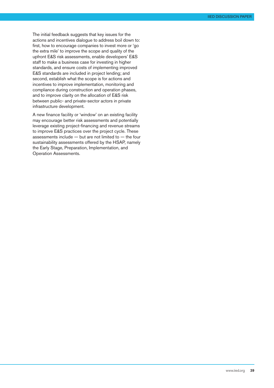The initial feedback suggests that key issues for the actions and incentives dialogue to address boil down to: first, how to encourage companies to invest more or 'go the extra mile' to improve the scope and quality of the upfront E&S risk assessments, enable developers' E&S staff to make a business case for investing in higher standards, and ensure costs of implementing improved E&S standards are included in project lending; and second, establish what the scope is for actions and incentives to improve implementation, monitoring and compliance during construction and operation phases, and to improve clarity on the allocation of E&S risk between public- and private-sector actors in private infrastructure development.

A new finance facility or 'window' on an existing facility may encourage better risk assessments and potentially leverage existing project-financing and revenue streams to improve E&S practices over the project cycle. These assessments include  $-$  but are not limited to  $-$  the four sustainability assessments offered by the HSAP, namely the Early Stage, Preparation, Implementation, and Operation Assessments.